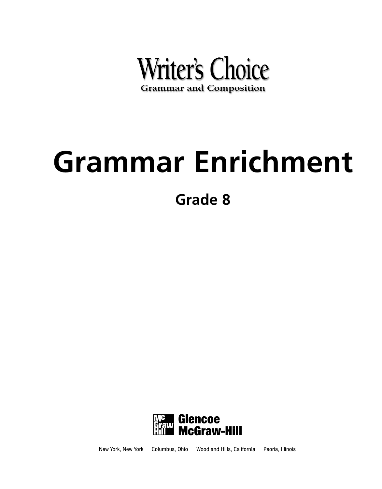

**Grade 8**



Woodland Hills, California Columbus, Ohio Peoria, Illinois New York, New York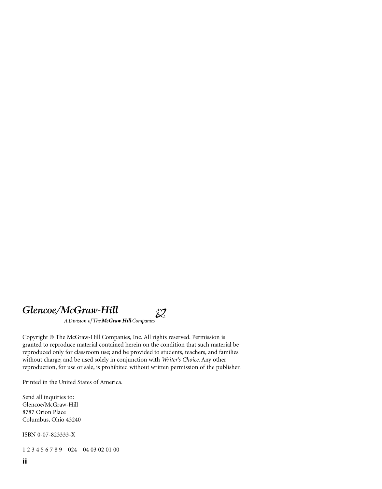### *Glencoe/McGraw-Hill*

A Division of The McGraw Hill Companies

Copyright © The McGraw-Hill Companies, Inc. All rights reserved. Permission is granted to reproduce material contained herein on the condition that such material be reproduced only for classroom use; and be provided to students, teachers, and families without charge; and be used solely in conjunction with *Writer's Choice*. Any other reproduction, for use or sale, is prohibited without written permission of the publisher.

 $\hat{\mathbb{X}}$ 

Printed in the United States of America.

Send all inquiries to: Glencoe/McGraw-Hill 8787 Orion Place Columbus, Ohio 43240

ISBN 0-07-823333-X

1 2 3 4 5 6 7 8 9 024 04 03 02 01 00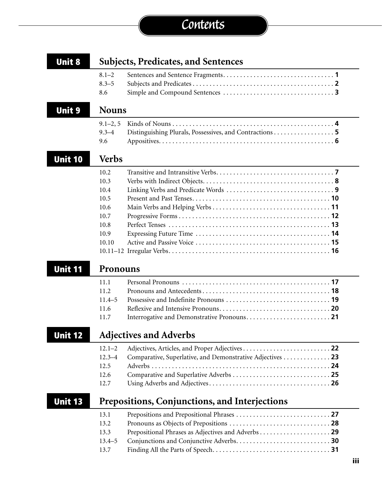# **Contents**

| <b>Unit 8</b>  | <b>Subjects, Predicates, and Sentences</b> |                                                           |  |  |  |
|----------------|--------------------------------------------|-----------------------------------------------------------|--|--|--|
|                | $8.1 - 2$                                  |                                                           |  |  |  |
|                | $8.3 - 5$                                  |                                                           |  |  |  |
|                | 8.6                                        |                                                           |  |  |  |
| <b>Unit 9</b>  | <b>Nouns</b>                               |                                                           |  |  |  |
|                | $9.1 - 2, 5$                               |                                                           |  |  |  |
|                | $9.3 - 4$                                  | Distinguishing Plurals, Possessives, and Contractions 5   |  |  |  |
|                | 9.6                                        |                                                           |  |  |  |
| <b>Unit 10</b> | <b>Verbs</b>                               |                                                           |  |  |  |
|                | 10.2                                       |                                                           |  |  |  |
|                | 10.3                                       |                                                           |  |  |  |
|                | 10.4                                       |                                                           |  |  |  |
|                | 10.5                                       |                                                           |  |  |  |
|                | 10.6                                       |                                                           |  |  |  |
|                | 10.7                                       |                                                           |  |  |  |
|                | 10.8                                       |                                                           |  |  |  |
|                | 10.9                                       |                                                           |  |  |  |
|                | 10.10                                      |                                                           |  |  |  |
|                |                                            |                                                           |  |  |  |
| <b>Unit 11</b> | Pronouns                                   |                                                           |  |  |  |
|                | 11.1                                       |                                                           |  |  |  |
|                | 11.2                                       |                                                           |  |  |  |
|                | $11.4 - 5$                                 |                                                           |  |  |  |
|                | 11.6                                       |                                                           |  |  |  |
|                | 11.7                                       |                                                           |  |  |  |
| Unit 12        |                                            | <b>Adjectives and Adverbs</b>                             |  |  |  |
|                | $12.1 - 2$                                 |                                                           |  |  |  |
|                | $12.3 - 4$                                 | Comparative, Superlative, and Demonstrative Adjectives 23 |  |  |  |
|                | 12.5                                       |                                                           |  |  |  |
|                | 12.6                                       |                                                           |  |  |  |
|                | 12.7                                       |                                                           |  |  |  |
| <b>Unit 13</b> |                                            | Prepositions, Conjunctions, and Interjections             |  |  |  |
|                |                                            |                                                           |  |  |  |
|                | 13.1                                       |                                                           |  |  |  |
|                | 13.2                                       |                                                           |  |  |  |
|                |                                            |                                                           |  |  |  |
|                | 13.3<br>$13.4 - 5$                         |                                                           |  |  |  |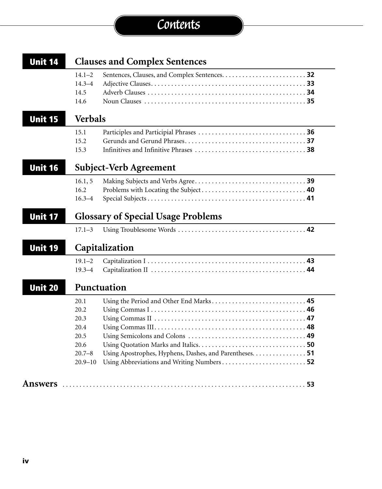# **Contents**

| <b>Unit 14</b> | <b>Clauses and Complex Sentences</b> |                                                         |  |  |  |  |
|----------------|--------------------------------------|---------------------------------------------------------|--|--|--|--|
|                | $14.1 - 2$                           |                                                         |  |  |  |  |
|                | $14.3 - 4$                           |                                                         |  |  |  |  |
|                | 14.5                                 |                                                         |  |  |  |  |
|                | 14.6                                 |                                                         |  |  |  |  |
| <b>Unit 15</b> | <b>Verbals</b>                       |                                                         |  |  |  |  |
|                | 15.1                                 |                                                         |  |  |  |  |
|                | 15.2                                 |                                                         |  |  |  |  |
|                | 15.3                                 |                                                         |  |  |  |  |
| <b>Unit 16</b> |                                      | Subject-Verb Agreement                                  |  |  |  |  |
|                | 16.1, 5                              |                                                         |  |  |  |  |
|                | 16.2                                 |                                                         |  |  |  |  |
|                | $16.3 - 4$                           |                                                         |  |  |  |  |
| <b>Unit 17</b> |                                      | <b>Glossary of Special Usage Problems</b>               |  |  |  |  |
|                | $17.1 - 3$                           |                                                         |  |  |  |  |
| <b>Unit 19</b> |                                      | Capitalization                                          |  |  |  |  |
|                | $19.1 - 2$                           |                                                         |  |  |  |  |
|                | $19.3 - 4$                           |                                                         |  |  |  |  |
| <b>Unit 20</b> |                                      | Punctuation                                             |  |  |  |  |
|                | 20.1                                 |                                                         |  |  |  |  |
|                | 20.2                                 |                                                         |  |  |  |  |
|                | 20.3                                 |                                                         |  |  |  |  |
|                | 20.4                                 |                                                         |  |  |  |  |
|                | 20.5                                 |                                                         |  |  |  |  |
|                | 20.6                                 |                                                         |  |  |  |  |
|                | $20.7 - 8$                           | Using Apostrophes, Hyphens, Dashes, and Parentheses. 51 |  |  |  |  |
|                |                                      | Using Abbreviations and Writing Numbers 52              |  |  |  |  |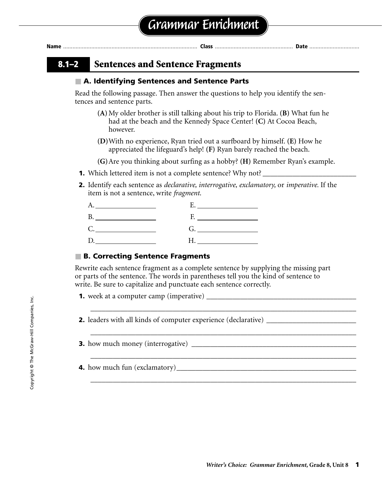### **8.1–2 Sentences and Sentence Fragments**

#### ■ **A. Identifying Sentences and Sentence Parts**

Read the following passage. Then answer the questions to help you identify the sentences and sentence parts.

- **(A)**My older brother is still talking about his trip to Florida. **(B)** What fun he had at the beach and the Kennedy Space Center! **(C)** At Cocoa Beach, however.
- **(D)**With no experience, Ryan tried out a surfboard by himself. **(E)** How he appreciated the lifeguard's help! **(F)** Ryan barely reached the beach.

**(G)**Are you thinking about surfing as a hobby? **(H)** Remember Ryan's example.

- **1.** Which lettered item is not a complete sentence? Why not? \_\_\_\_\_\_\_\_\_\_\_\_\_\_\_\_\_\_\_
- **2.** Identify each sentence as *declarative, interrogative, exclamatory,* or *imperative.* If the item is not a sentence, write *fragment*.

|    | $\mathbf{F}_{\bullet}$ and $\mathbf{F}_{\bullet}$ are the set of $\mathbf{F}_{\bullet}$ |
|----|-----------------------------------------------------------------------------------------|
| C. |                                                                                         |
| D. | $H_{\rm{max}}$ and $H_{\rm{max}}$ and $H_{\rm{max}}$                                    |

### ■ **B. Correcting Sentence Fragments**

Rewrite each sentence fragment as a complete sentence by supplying the missing part or parts of the sentence. The words in parentheses tell you the kind of sentence to write. Be sure to capitalize and punctuate each sentence correctly.

\_\_\_\_\_\_\_\_\_\_\_\_\_\_\_\_\_\_\_\_\_\_\_\_\_\_\_\_\_\_\_\_\_\_\_\_\_\_\_\_\_\_\_\_\_\_\_\_\_\_\_\_\_\_\_\_\_\_\_\_\_\_\_\_\_\_\_\_\_\_\_

\_\_\_\_\_\_\_\_\_\_\_\_\_\_\_\_\_\_\_\_\_\_\_\_\_\_\_\_\_\_\_\_\_\_\_\_\_\_\_\_\_\_\_\_\_\_\_\_\_\_\_\_\_\_\_\_\_\_\_\_\_\_\_\_\_\_\_\_\_\_\_

\_\_\_\_\_\_\_\_\_\_\_\_\_\_\_\_\_\_\_\_\_\_\_\_\_\_\_\_\_\_\_\_\_\_\_\_\_\_\_\_\_\_\_\_\_\_\_\_\_\_\_\_\_\_\_\_\_\_\_\_\_\_\_\_\_\_\_\_\_\_\_

\_\_\_\_\_\_\_\_\_\_\_\_\_\_\_\_\_\_\_\_\_\_\_\_\_\_\_\_\_\_\_\_\_\_\_\_\_\_\_\_\_\_\_\_\_\_\_\_\_\_\_\_\_\_\_\_\_\_\_\_\_\_\_\_\_\_\_\_\_\_\_

**1.** week at a computer camp (imperative) \_\_\_\_\_\_\_\_\_\_\_\_\_\_\_\_\_\_\_\_\_\_\_\_\_\_\_\_\_\_\_\_\_\_\_\_\_\_\_\_

**2.** leaders with all kinds of computer experience (declarative) \_\_\_\_\_\_\_\_\_\_\_\_\_\_\_\_

| <b>3.</b> how much money (interrogative) |  |
|------------------------------------------|--|
|------------------------------------------|--|

**4.** how much fun (exclamatory)\_\_\_\_\_\_\_\_\_\_\_\_\_\_\_\_\_\_\_\_\_\_\_\_\_\_\_\_\_\_\_\_\_\_\_\_\_\_\_\_\_\_\_\_\_\_\_\_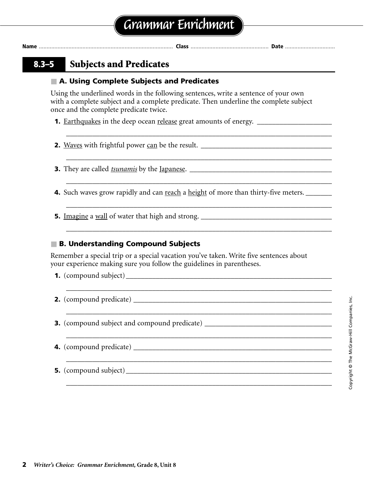\_\_\_\_\_\_\_\_\_\_\_\_\_\_\_\_\_\_\_\_\_\_\_\_\_\_\_\_\_\_\_\_\_\_\_\_\_\_\_\_\_\_\_\_\_\_\_\_\_\_\_\_\_\_\_\_\_\_\_\_\_\_\_\_\_\_\_\_\_\_\_

\_\_\_\_\_\_\_\_\_\_\_\_\_\_\_\_\_\_\_\_\_\_\_\_\_\_\_\_\_\_\_\_\_\_\_\_\_\_\_\_\_\_\_\_\_\_\_\_\_\_\_\_\_\_\_\_\_\_\_\_\_\_\_\_\_\_\_\_\_\_\_

\_\_\_\_\_\_\_\_\_\_\_\_\_\_\_\_\_\_\_\_\_\_\_\_\_\_\_\_\_\_\_\_\_\_\_\_\_\_\_\_\_\_\_\_\_\_\_\_\_\_\_\_\_\_\_\_\_\_\_\_\_\_\_\_\_\_\_\_\_\_\_

\_\_\_\_\_\_\_\_\_\_\_\_\_\_\_\_\_\_\_\_\_\_\_\_\_\_\_\_\_\_\_\_\_\_\_\_\_\_\_\_\_\_\_\_\_\_\_\_\_\_\_\_\_\_\_\_\_\_\_\_\_\_\_\_\_\_\_\_\_\_\_

\_\_\_\_\_\_\_\_\_\_\_\_\_\_\_\_\_\_\_\_\_\_\_\_\_\_\_\_\_\_\_\_\_\_\_\_\_\_\_\_\_\_\_\_\_\_\_\_\_\_\_\_\_\_\_\_\_\_\_\_\_\_\_\_\_\_\_\_\_\_\_

### **8.3–5 Subjects and Predicates**

### ■ **A. Using Complete Subjects and Predicates**

Using the underlined words in the following sentences, write a sentence of your own with a complete subject and a complete predicate. Then underline the complete subject once and the complete predicate twice.

**1.** Earthquakes in the deep ocean release great amounts of energy. \_\_\_\_\_\_\_\_\_\_\_\_\_\_\_\_\_\_\_

**2.** Waves with frightful power can be the result. \_\_\_\_\_\_\_\_\_\_\_\_\_\_\_\_\_\_\_\_\_\_\_\_\_\_\_\_\_\_

**3.** They are called *tsunamis* by the Japanese. \_\_\_\_\_\_\_\_\_\_\_\_\_\_\_\_\_\_\_\_\_\_\_\_\_\_\_\_\_\_\_\_\_\_\_\_\_\_

**4.** Such waves grow rapidly and can reach a height of more than thirty-five meters.

**5.** Imagine a wall of water that high and strong. \_\_\_\_\_\_\_\_\_\_\_\_\_\_\_\_\_\_\_\_\_\_\_\_\_\_\_\_\_\_\_\_\_\_\_

### ■ **B. Understanding Compound Subjects**

Remember a special trip or a special vacation you've taken. Write five sentences about your experience making sure you follow the guidelines in parentheses.

| <b>3.</b> (compound subject and compound predicate) __________________________________ |
|----------------------------------------------------------------------------------------|
|                                                                                        |
|                                                                                        |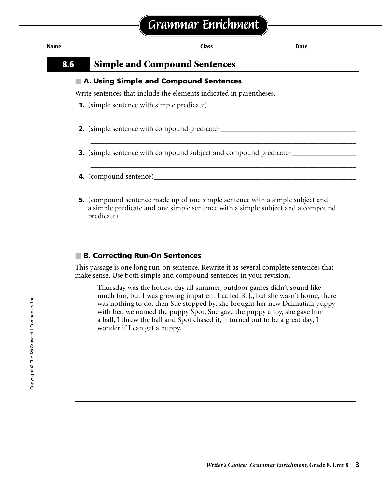| 8.6 | <b>Simple and Compound Sentences</b>                                                                                                                                                   |
|-----|----------------------------------------------------------------------------------------------------------------------------------------------------------------------------------------|
|     | A. Using Simple and Compound Sentences                                                                                                                                                 |
|     | Write sentences that include the elements indicated in parentheses.                                                                                                                    |
|     |                                                                                                                                                                                        |
|     | <b>2.</b> (simple sentence with compound predicate) __________________________________                                                                                                 |
|     | <b>3.</b> (simple sentence with compound subject and compound predicate) _____________                                                                                                 |
|     |                                                                                                                                                                                        |
|     | <b>5.</b> (compound sentence made up of one simple sentence with a simple subject and<br>a simple predicate and one simple sentence with a simple subject and a compound<br>predicate) |

#### ■ **B. Correcting Run-On Sentences**

This passage is one long run-on sentence. Rewrite it as several complete sentences that make sense. Use both simple and compound sentences in your revision.

Thursday was the hottest day all summer, outdoor games didn't sound like much fun, but I was growing impatient I called B. J., but she wasn't home, there was nothing to do, then Sue stopped by, she brought her new Dalmatian puppy with her, we named the puppy Spot, Sue gave the puppy a toy, she gave him a ball, I threw the ball and Spot chased it, it turned out to be a great day, I wonder if I can get a puppy.

\_\_\_\_\_\_\_\_\_\_\_\_\_\_\_\_\_\_\_\_\_\_\_\_\_\_\_\_\_\_\_\_\_\_\_\_\_\_\_\_\_\_\_\_\_\_\_\_\_\_\_\_\_\_\_\_\_\_\_\_\_\_\_\_\_\_\_\_\_\_\_ \_\_\_\_\_\_\_\_\_\_\_\_\_\_\_\_\_\_\_\_\_\_\_\_\_\_\_\_\_\_\_\_\_\_\_\_\_\_\_\_\_\_\_\_\_\_\_\_\_\_\_\_\_\_\_\_\_\_\_\_\_\_\_\_\_\_\_\_\_\_\_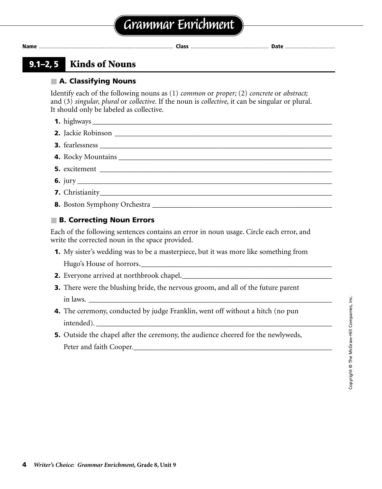### **9.1–2, 5 Kinds of Nouns**

### ■ **A. Classifying Nouns**

Identify each of the following nouns as (1) *common* or *proper;* (2) *concrete* or *abstract;* and (3) *singular, plural* or *collective.* If the noun is *collective,* it can be singular or plural. It should only be labeled as collective.

- **1.** highways \_\_\_\_\_\_\_\_\_\_\_\_\_\_\_\_\_\_\_\_\_\_\_\_\_\_\_\_\_\_\_\_\_\_\_\_\_\_\_\_\_\_\_\_\_\_\_\_\_\_\_\_\_\_\_\_\_\_\_\_\_\_\_\_
- **2.** Jackie Robinson \_\_\_\_\_\_\_\_\_\_\_\_\_\_\_\_\_\_\_\_\_\_\_\_\_\_\_\_\_\_\_\_\_\_\_\_\_\_\_\_\_\_\_\_\_\_\_\_\_\_\_\_\_\_\_\_\_\_
- **3.** fearlessness
- **4.** Rocky Mountains \_\_\_\_\_\_\_\_\_\_\_\_\_\_\_\_\_\_\_\_\_\_\_\_\_\_\_\_\_\_\_\_\_\_\_\_\_\_\_\_\_\_\_\_\_\_\_\_\_\_\_\_\_\_\_\_\_
- **5.** excitement  $\Box$
- **6.** jury \_\_\_\_\_\_\_\_\_\_\_\_\_\_\_\_\_\_\_\_\_\_\_\_\_\_\_\_\_\_\_\_\_\_\_\_\_\_\_\_\_\_\_\_\_\_\_\_\_\_\_\_\_\_\_\_\_\_\_\_\_\_\_\_\_\_\_\_
- **7.** Christianity
- **8.** Boston Symphony Orchestra \_\_\_\_\_\_\_\_\_\_\_\_\_\_\_\_\_\_\_\_\_\_\_\_\_\_\_\_\_\_\_\_\_\_\_\_\_\_\_\_\_\_\_\_\_\_\_\_

### ■ **B. Correcting Noun Errors**

Each of the following sentences contains an error in noun usage. Circle each error, and write the corrected noun in the space provided.

**1.** My sister's wedding was to be a masterpiece, but it was more like something from

Hugo's House of horrors.

- **2.** Everyone arrived at northbrook chapel.\_\_\_\_\_\_\_\_\_\_\_\_\_\_\_\_\_\_\_\_\_\_\_\_\_\_\_\_\_\_\_\_\_\_\_\_\_\_\_\_
- **3.** There were the blushing bride, the nervous groom, and all of the future parent  $\text{in laws.}$
- **4.** The ceremony, conducted by judge Franklin, went off without a hitch (no pun intended).
- **5.** Outside the chapel after the ceremony, the audience cheered for the newlyweds, Peter and faith Cooper.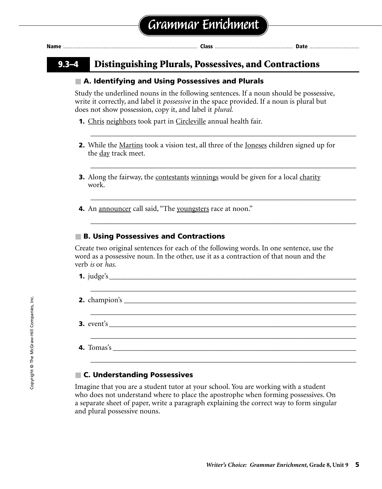| ١ρ |  |  |  |
|----|--|--|--|
|    |  |  |  |

### **9.3–4 Distinguishing Plurals, Possessives, and Contractions**

#### ■ **A. Identifying and Using Possessives and Plurals**

Study the underlined nouns in the following sentences. If a noun should be possessive, write it correctly, and label it *possessive* in the space provided. If a noun is plural but does not show possession, copy it, and label it *plural.*

- **1.** Chris neighbors took part in Circleville annual health fair.
- **2.** While the <u>Martins</u> took a vision test, all three of the <u>Joneses</u> children signed up for the <u>day</u> track meet.

\_\_\_\_\_\_\_\_\_\_\_\_\_\_\_\_\_\_\_\_\_\_\_\_\_\_\_\_\_\_\_\_\_\_\_\_\_\_\_\_\_\_\_\_\_\_\_\_\_\_\_\_\_\_\_\_\_\_\_\_\_\_\_\_\_\_\_\_\_\_\_

\_\_\_\_\_\_\_\_\_\_\_\_\_\_\_\_\_\_\_\_\_\_\_\_\_\_\_\_\_\_\_\_\_\_\_\_\_\_\_\_\_\_\_\_\_\_\_\_\_\_\_\_\_\_\_\_\_\_\_\_\_\_\_\_\_\_\_\_\_\_\_

\_\_\_\_\_\_\_\_\_\_\_\_\_\_\_\_\_\_\_\_\_\_\_\_\_\_\_\_\_\_\_\_\_\_\_\_\_\_\_\_\_\_\_\_\_\_\_\_\_\_\_\_\_\_\_\_\_\_\_\_\_\_\_\_\_\_\_\_\_\_\_

\_\_\_\_\_\_\_\_\_\_\_\_\_\_\_\_\_\_\_\_\_\_\_\_\_\_\_\_\_\_\_\_\_\_\_\_\_\_\_\_\_\_\_\_\_\_\_\_\_\_\_\_\_\_\_\_\_\_\_\_\_\_\_\_\_\_\_\_\_\_\_

- **3.** Along the fairway, the contestants winnings would be given for a local charity work.
- **4.** An announcer call said, "The youngsters race at noon."

#### ■ **B. Using Possessives and Contractions**

Create two original sentences for each of the following words. In one sentence, use the word as a possessive noun. In the other, use it as a contraction of that noun and the verb *is* or *has.*

|  | <b>4.</b> Tomas's $\qquad \qquad$ |  |
|--|-----------------------------------|--|

#### ■ **C. Understanding Possessives**

Imagine that you are a student tutor at your school. You are working with a student who does not understand where to place the apostrophe when forming possessives. On a separate sheet of paper, write a paragraph explaining the correct way to form singular and plural possessive nouns.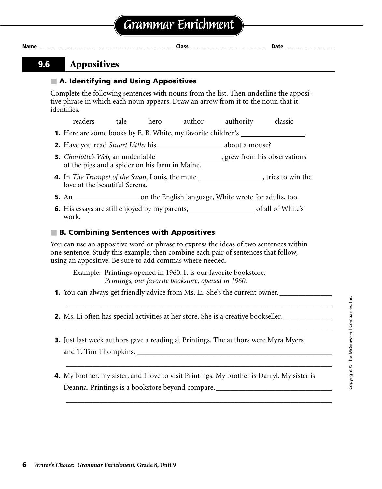### **9.6 Appositives**

### ■ **A. Identifying and Using Appositives**

Complete the following sentences with nouns from the list. Then underline the appositive phrase in which each noun appears. Draw an arrow from it to the noun that it identifies.

readers tale hero author authority classic

- **1.** Here are some books by E. B. White, my favorite children's \_\_\_\_\_\_\_\_\_\_\_\_\_\_\_\_\_
- **2.** Have you read *Stuart Little*, his about a mouse?
- **3.** *Charlotte's Web*, an undeniable <sub>,</sub> grew from his observations of the pigs and a spider on his farm in Maine.
- **4.** In *The Trumpet of the Swan*, Louis, the mute \_\_\_\_\_\_\_\_\_\_\_\_\_\_\_\_, tries to win the love of the beautiful Serena.
- **5.** An  $\frac{1}{\sqrt{1-\frac{1}{\sqrt{1-\frac{1}{\sqrt{1-\frac{1}{\sqrt{1-\frac{1}{\sqrt{1-\frac{1}{\sqrt{1-\frac{1}{\sqrt{1-\frac{1}{\sqrt{1-\frac{1}{\sqrt{1-\frac{1}{\sqrt{1-\frac{1}{\sqrt{1-\frac{1}{\sqrt{1-\frac{1}{\sqrt{1-\frac{1}{\sqrt{1-\frac{1}{\sqrt{1-\frac{1}{\sqrt{1-\frac{1}{\sqrt{1-\frac{1}{\sqrt{1-\frac{1}{\sqrt{1-\frac{1}{\sqrt{1-\frac{1}{\sqrt{1-\frac{1}{\sqrt{1-\frac{1}{\sqrt{1-\frac{1}{\$
- **6.** His essays are still enjoyed by my parents, of all of White's work.

### ■ **B. Combining Sentences with Appositives**

You can use an appositive word or phrase to express the ideas of two sentences within one sentence. Study this example; then combine each pair of sentences that follow, using an appositive. Be sure to add commas where needed.

Example: Printings opened in 1960. It is our favorite bookstore. *Printings, our favorite bookstore, opened in 1960.*

- **1.** You can always get friendly advice from Ms. Li. She's the current owner. \_\_\_\_\_\_\_\_\_\_\_\_\_\_\_\_\_\_\_\_\_\_\_\_\_\_\_\_\_\_\_\_\_\_\_
- **2.** Ms. Li often has special activities at her store. She is a creative bookseller.
- **3.** Just last week authors gave a reading at Printings. The authors were Myra Myers and T. Tim Thompkins.

\_\_\_\_\_\_\_\_\_\_\_\_\_\_\_\_\_\_\_\_\_\_\_\_\_\_\_\_\_\_\_\_\_\_\_\_\_\_\_\_\_\_\_\_\_\_\_\_\_\_\_\_\_\_\_\_\_\_\_\_\_\_\_\_\_\_\_\_\_\_\_

\_\_\_\_\_\_\_\_\_\_\_\_\_\_\_\_\_\_\_\_\_\_\_\_\_\_\_\_\_\_\_\_\_\_\_\_\_\_\_\_\_\_\_\_\_\_\_\_\_\_\_\_\_\_\_\_\_\_\_\_\_\_\_\_\_\_\_\_\_\_\_

\_\_\_\_\_\_\_\_\_\_\_\_\_\_\_\_\_\_\_\_\_\_\_\_\_\_\_\_\_\_\_\_\_\_\_\_\_\_\_\_\_\_\_\_\_\_\_\_\_\_\_\_\_\_\_\_\_\_\_\_\_\_\_\_\_\_\_\_\_\_\_

\_\_\_\_\_\_\_\_\_\_\_\_\_\_\_\_\_\_\_\_\_\_\_\_\_\_\_\_\_\_\_\_\_\_\_\_\_\_\_\_\_\_\_\_\_\_\_\_\_\_\_\_\_\_\_\_\_\_\_\_\_\_\_\_\_\_\_\_\_\_\_

**4.** My brother, my sister, and I love to visit Printings. My brother is Darryl. My sister is Deanna. Printings is a bookstore beyond compare.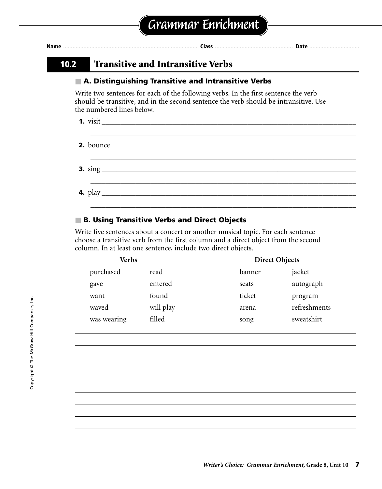| 10.2 | <b>Transitive and Intransitive Verbs</b>                                                                                                                                                                  |
|------|-----------------------------------------------------------------------------------------------------------------------------------------------------------------------------------------------------------|
|      | A. Distinguishing Transitive and Intransitive Verbs                                                                                                                                                       |
|      | Write two sentences for each of the following verbs. In the first sentence the verb<br>should be transitive, and in the second sentence the verb should be intransitive. Use<br>the numbered lines below. |
|      | <b>1.</b> visit                                                                                                                                                                                           |
|      | ,我们也不能在这里的时候,我们也不能在这里的时候,我们也不能在这里的时候,我们也不能会不能会不能会不能会不能会不能会不能会。<br>第2012章 我们的时候,我们的时候,我们的时候,我们的时候,我们的时候,我们的时候,我们的时候,我们的时候,我们的时候,我们的时候,我们的时候,我们的时候,我                                                        |
|      |                                                                                                                                                                                                           |
|      |                                                                                                                                                                                                           |

### ■ **B. Using Transitive Verbs and Direct Objects**

Write five sentences about a concert or another musical topic. For each sentence choose a transitive verb from the first column and a direct object from the second column. In at least one sentence, include two direct objects.

| <b>Verbs</b> |           | <b>Direct Objects</b> |              |  |
|--------------|-----------|-----------------------|--------------|--|
| purchased    | read      | banner                | jacket       |  |
| gave         | entered   | seats                 | autograph    |  |
| want         | found     | ticket                | program      |  |
| waved        | will play | arena                 | refreshments |  |
| was wearing  | filled    | song                  | sweatshirt   |  |

\_\_\_\_\_\_\_\_\_\_\_\_\_\_\_\_\_\_\_\_\_\_\_\_\_\_\_\_\_\_\_\_\_\_\_\_\_\_\_\_\_\_\_\_\_\_\_\_\_\_\_\_\_\_\_\_\_\_\_\_\_\_\_\_\_\_\_\_\_\_\_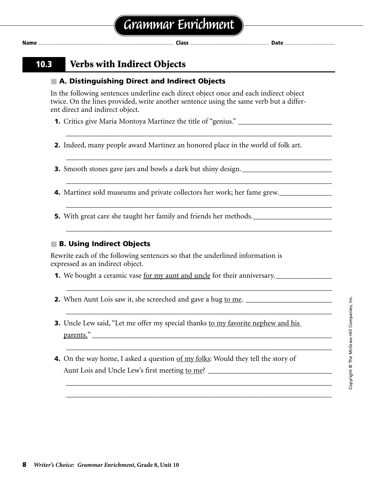### **10.3 Verbs with Indirect Objects**

### ■ **A. Distinguishing Direct and Indirect Objects**

In the following sentences underline each direct object once and each indirect object twice. On the lines provided, write another sentence using the same verb but a different direct and indirect object.

**1.** Critics give Maria Montoya Martinez the title of "genius." \_\_\_\_\_\_\_\_\_\_\_\_\_\_\_\_\_\_

**2.** Indeed, many people award Martinez an honored place in the world of folk art.

\_\_\_\_\_\_\_\_\_\_\_\_\_\_\_\_\_\_\_\_\_\_\_\_\_\_\_\_\_\_\_\_\_\_\_\_\_\_\_\_\_\_\_\_\_\_\_\_\_\_\_\_\_\_\_\_\_\_\_\_\_\_\_\_\_\_\_\_\_\_\_

\_\_\_\_\_\_\_\_\_\_\_\_\_\_\_\_\_\_\_\_\_\_\_\_\_\_\_\_\_\_\_\_\_\_\_\_\_\_\_\_\_\_\_\_\_\_\_\_\_\_\_\_\_\_\_\_\_\_\_\_\_\_\_\_\_\_\_\_\_\_\_

\_\_\_\_\_\_\_\_\_\_\_\_\_\_\_\_\_\_\_\_\_\_\_\_\_\_\_\_\_\_\_\_\_\_\_\_\_\_\_\_\_\_\_\_\_\_\_\_\_\_\_\_\_\_\_\_\_\_\_\_\_\_\_\_\_\_\_\_\_\_\_

\_\_\_\_\_\_\_\_\_\_\_\_\_\_\_\_\_\_\_\_\_\_\_\_\_\_\_\_\_\_\_\_\_\_\_\_\_\_\_\_\_\_\_\_\_\_\_\_\_\_\_\_\_\_\_\_\_\_\_\_\_\_\_\_\_\_\_\_\_\_\_

\_\_\_\_\_\_\_\_\_\_\_\_\_\_\_\_\_\_\_\_\_\_\_\_\_\_\_\_\_\_\_\_\_\_\_\_\_\_\_\_\_\_\_\_\_\_\_\_\_\_\_\_\_\_\_\_\_\_\_\_\_\_\_\_\_\_\_\_\_\_\_

\_\_\_\_\_\_\_\_\_\_\_\_\_\_\_\_\_\_\_\_\_\_\_\_\_\_\_\_\_\_\_\_\_\_\_\_\_\_\_\_\_\_\_\_\_\_\_\_\_\_\_\_\_\_\_\_\_\_\_\_\_\_\_\_\_\_\_\_\_\_\_

\_\_\_\_\_\_\_\_\_\_\_\_\_\_\_\_\_\_\_\_\_\_\_\_\_\_\_\_\_\_\_\_\_\_\_\_\_\_\_\_\_\_\_\_\_\_\_\_\_\_\_\_\_\_\_\_\_\_\_\_\_\_\_\_\_\_\_\_\_\_\_

\_\_\_\_\_\_\_\_\_\_\_\_\_\_\_\_\_\_\_\_\_\_\_\_\_\_\_\_\_\_\_\_\_\_\_\_\_\_\_\_\_\_\_\_\_\_\_\_\_\_\_\_\_\_\_\_\_\_\_\_\_\_\_\_\_\_\_\_\_\_\_

\_\_\_\_\_\_\_\_\_\_\_\_\_\_\_\_\_\_\_\_\_\_\_\_\_\_\_\_\_\_\_\_\_\_\_\_\_\_\_\_\_\_\_\_\_\_\_\_\_\_\_\_\_\_\_\_\_\_\_\_\_\_\_\_\_\_\_\_\_\_\_ \_\_\_\_\_\_\_\_\_\_\_\_\_\_\_\_\_\_\_\_\_\_\_\_\_\_\_\_\_\_\_\_\_\_\_\_\_\_\_\_\_\_\_\_\_\_\_\_\_\_\_\_\_\_\_\_\_\_\_\_\_\_\_\_\_\_\_\_\_\_\_

**3.** Smooth stones gave jars and bowls a dark but shiny design.

**4.** Martinez sold museums and private collectors her work; her fame grew.

**5.** With great care she taught her family and friends her methods.

### ■ **B. Using Indirect Objects**

Rewrite each of the following sentences so that the underlined information is expressed as an indirect object.

- **1.** We bought a ceramic vase for my aunt and uncle for their anniversary.
- **2.** When Aunt Lois saw it, she screeched and gave a hug to me. \_\_\_\_\_\_\_\_\_\_\_\_\_\_\_\_\_\_\_\_\_\_\_
- **3.** Uncle Lew said, "Let me offer my special thanks to my favorite nephew and his  $\beta$  parents."
- **4.** On the way home, I asked a question <u>of my folks</u>: Would they tell the story of Aunt Lois and Uncle Lew's first meeting to me?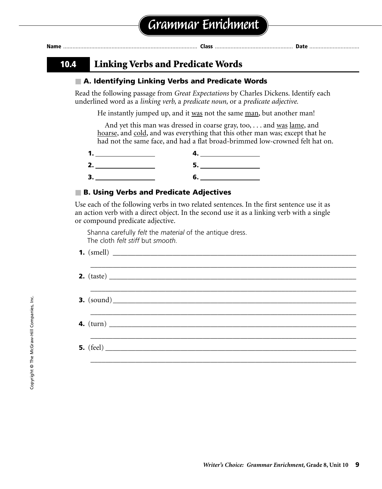| Nam | . |  |
|-----|---|--|
|     |   |  |

### **10.4 Linking Verbs and Predicate Words**

### ■ **A. Identifying Linking Verbs and Predicate Words**

Read the following passage from *Great Expectations* by Charles Dickens. Identify each underlined word as a *linking verb,* a *predicate noun,* or a *predicate adjective.*

He instantly jumped up, and it was not the same man, but another man!

And yet this man was dressed in coarse gray, too, ... and was <u>lame</u>, and hoarse, and cold, and was everything that this other man was; except that he had not the same face, and had a flat broad-brimmed low-crowned felt hat on.

| п. |  |
|----|--|
| ъ  |  |

### ■ **B. Using Verbs and Predicate Adjectives**

Use each of the following verbs in two related sentences. In the first sentence use it as an action verb with a direct object. In the second use it as a linking verb with a single or compound predicate adjective.

Shanna carefully *felt* the *material* of the antique dress. The cloth *felt stiff* but *smooth.*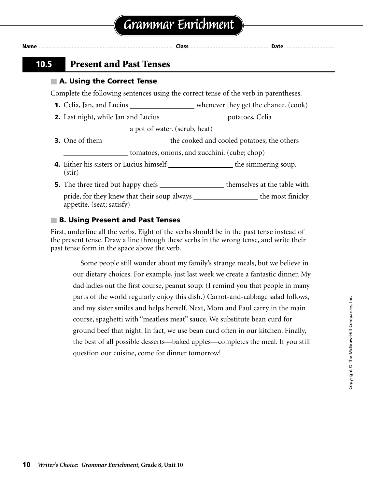**Name** ...................................................................................... **Class** .................................................. **Date** ................................

### **10.5 Present and Past Tenses**

### ■ **A. Using the Correct Tense**

Complete the following sentences using the correct tense of the verb in parentheses.

- **1.** Celia, Jan, and Lucius \_\_\_\_\_\_\_\_\_\_\_\_\_\_\_\_\_\_\_\_\_\_\_ whenever they get the chance. (cook)
- 2. Last night, while Jan and Lucius \_\_\_\_\_\_\_\_\_\_\_\_\_\_\_\_\_\_\_\_\_\_\_ potatoes, Celia

**a** pot of water. (scrub, heat)

- **3.** One of them the cooked and cooled potatoes; the others tomatoes, onions, and zucchini. (cube; chop)
- **4.** Either his sisters or Lucius himself \_\_\_\_\_\_\_\_\_\_\_\_\_\_\_\_\_\_\_\_the simmering soup. (stir)
- **5.** The three tired but happy chefs themselves at the table with

pride, for they knew that their soup always the most finicky appetite. (seat; satisfy)

### ■ **B. Using Present and Past Tenses**

First, underline all the verbs. Eight of the verbs should be in the past tense instead of the present tense. Draw a line through these verbs in the wrong tense, and write their past tense form in the space above the verb.

Some people still wonder about my family's strange meals, but we believe in our dietary choices. For example, just last week we create a fantastic dinner. My dad ladles out the first course, peanut soup. (I remind you that people in many parts of the world regularly enjoy this dish.) Carrot-and-cabbage salad follows, and my sister smiles and helps herself. Next, Mom and Paul carry in the main course, spaghetti with "meatless meat" sauce. We substitute bean curd for ground beef that night. In fact, we use bean curd often in our kitchen. Finally, the best of all possible desserts—baked apples—completes the meal. If you still question our cuisine, come for dinner tomorrow!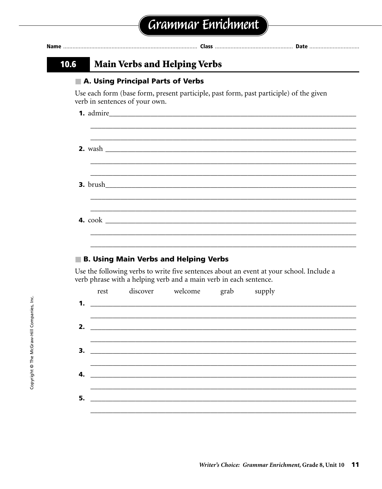| verb in sentences of your own. |                  | Use each form (base form, present participle, past form, past participle) of the given                                                                                                                                                                                                             |
|--------------------------------|------------------|----------------------------------------------------------------------------------------------------------------------------------------------------------------------------------------------------------------------------------------------------------------------------------------------------|
|                                |                  |                                                                                                                                                                                                                                                                                                    |
| 1. admire                      |                  |                                                                                                                                                                                                                                                                                                    |
|                                |                  |                                                                                                                                                                                                                                                                                                    |
|                                |                  |                                                                                                                                                                                                                                                                                                    |
|                                |                  |                                                                                                                                                                                                                                                                                                    |
|                                |                  |                                                                                                                                                                                                                                                                                                    |
|                                | grab             | supply                                                                                                                                                                                                                                                                                             |
|                                | discover welcome | ,我们也不能在这里的人,我们也不能在这里的人,我们也不能在这里的人,我们也不能在这里的人,我们也不能在这里的人,我们也不能在这里的人,我们也不能在这里的人,我们也<br><b>B. Using Main Verbs and Helping Verbs</b><br>Use the following verbs to write five sentences about an event at your school. Include a<br>verb phrase with a helping verb and a main verb in each sentence. |

<u> 1980 - Jan Barbara, martin amerikan personal (h. 1980).</u>

4.

 $5.$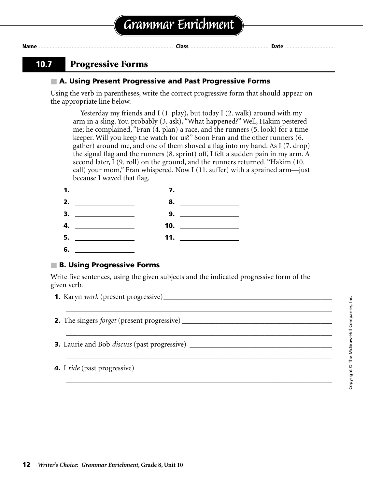### **10.7 Progressive Forms**

#### ■ **A. Using Present Progressive and Past Progressive Forms**

Using the verb in parentheses, write the correct progressive form that should appear on the appropriate line below.

Yesterday my friends and I (1. play), but today I (2. walk) around with my arm in a sling. You probably (3. ask), "What happened?" Well, Hakim pestered me; he complained, "Fran (4. plan) a race, and the runners (5. look) for a timekeeper. Will you keep the watch for us?" Soon Fran and the other runners (6. gather) around me, and one of them shoved a flag into my hand. As I (7. drop) the signal flag and the runners (8. sprint) off, I felt a sudden pain in my arm. A second later, I (9. roll) on the ground, and the runners returned. "Hakim (10. call) your mom," Fran whispered. Now I (11. suffer) with a sprained arm—just because I waved that flag.



### ■ **B. Using Progressive Forms**

Write five sentences, using the given subjects and the indicated progressive form of the given verb.

\_\_\_\_\_\_\_\_\_\_\_\_\_\_\_\_\_\_\_\_\_\_\_\_\_\_\_\_\_\_\_\_\_\_\_\_\_\_\_\_\_\_\_\_\_\_\_\_\_\_\_\_\_\_\_\_\_\_\_\_\_\_\_\_\_\_\_\_\_\_\_

\_\_\_\_\_\_\_\_\_\_\_\_\_\_\_\_\_\_\_\_\_\_\_\_\_\_\_\_\_\_\_\_\_\_\_\_\_\_\_\_\_\_\_\_\_\_\_\_\_\_\_\_\_\_\_\_\_\_\_\_\_\_\_\_\_\_\_\_\_\_\_

\_\_\_\_\_\_\_\_\_\_\_\_\_\_\_\_\_\_\_\_\_\_\_\_\_\_\_\_\_\_\_\_\_\_\_\_\_\_\_\_\_\_\_\_\_\_\_\_\_\_\_\_\_\_\_\_\_\_\_\_\_\_\_\_\_\_\_\_\_\_\_

\_\_\_\_\_\_\_\_\_\_\_\_\_\_\_\_\_\_\_\_\_\_\_\_\_\_\_\_\_\_\_\_\_\_\_\_\_\_\_\_\_\_\_\_\_\_\_\_\_\_\_\_\_\_\_\_\_\_\_\_\_\_\_\_\_\_\_\_\_\_\_

- **1.** Karyn *work* (present progressive)\_\_\_\_\_\_\_\_\_\_\_\_\_\_\_\_\_\_\_\_\_\_\_\_\_\_\_\_\_\_\_\_\_\_\_\_\_\_\_\_\_\_\_\_\_
- **2.** The singers *forget* (present progressive) \_\_\_\_\_\_\_\_\_\_\_\_\_\_\_\_\_\_\_\_\_\_\_\_\_\_\_\_\_\_\_\_\_\_\_\_\_\_\_\_
- **3.** Laurie and Bob *discuss* (past progressive) \_\_\_\_\_\_\_\_\_\_\_\_\_\_\_\_\_\_\_\_\_\_\_\_\_\_\_\_\_\_\_\_\_
- **4.** I *ride* (past progressive) \_\_\_\_\_\_\_\_\_\_\_\_\_\_\_\_\_\_\_\_\_\_\_\_\_\_\_\_\_\_\_\_\_\_\_\_\_\_\_\_\_\_\_\_\_\_\_\_\_\_\_\_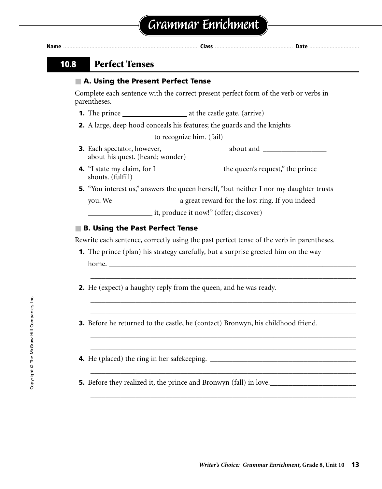| Name |                                                                                                      |
|------|------------------------------------------------------------------------------------------------------|
| 10.8 | <b>Perfect Tenses</b>                                                                                |
|      | ■ A. Using the Present Perfect Tense                                                                 |
|      | Complete each sentence with the correct present perfect form of the verb or verbs in<br>parentheses. |
|      |                                                                                                      |
|      | <b>2.</b> A large, deep hood conceals his features; the guards and the knights                       |
|      | to recognize him. (fail)                                                                             |
|      | about his quest. (heard; wonder)                                                                     |
|      | <b>4.</b> "I state my claim, for I the queen's request," the prince<br>shouts. (fulfill)             |
|      | <b>5.</b> "You interest us," answers the queen herself, "but neither I nor my daughter trusts        |

you. We \_\_\_\_\_\_\_\_\_\_\_\_\_\_\_\_\_\_\_\_\_\_\_\_ a great reward for the lost ring. If you indeed

it, produce it now!" (offer; discover)

#### ■ **B. Using the Past Perfect Tense**

Rewrite each sentence, correctly using the past perfect tense of the verb in parentheses.

\_\_\_\_\_\_\_\_\_\_\_\_\_\_\_\_\_\_\_\_\_\_\_\_\_\_\_\_\_\_\_\_\_\_\_\_\_\_\_\_\_\_\_\_\_\_\_\_\_\_\_\_\_\_\_\_\_\_\_\_\_\_\_\_\_\_\_\_\_\_\_

\_\_\_\_\_\_\_\_\_\_\_\_\_\_\_\_\_\_\_\_\_\_\_\_\_\_\_\_\_\_\_\_\_\_\_\_\_\_\_\_\_\_\_\_\_\_\_\_\_\_\_\_\_\_\_\_\_\_\_\_\_\_\_\_\_\_\_\_\_\_\_ \_\_\_\_\_\_\_\_\_\_\_\_\_\_\_\_\_\_\_\_\_\_\_\_\_\_\_\_\_\_\_\_\_\_\_\_\_\_\_\_\_\_\_\_\_\_\_\_\_\_\_\_\_\_\_\_\_\_\_\_\_\_\_\_\_\_\_\_\_\_\_

\_\_\_\_\_\_\_\_\_\_\_\_\_\_\_\_\_\_\_\_\_\_\_\_\_\_\_\_\_\_\_\_\_\_\_\_\_\_\_\_\_\_\_\_\_\_\_\_\_\_\_\_\_\_\_\_\_\_\_\_\_\_\_\_\_\_\_\_\_\_\_ \_\_\_\_\_\_\_\_\_\_\_\_\_\_\_\_\_\_\_\_\_\_\_\_\_\_\_\_\_\_\_\_\_\_\_\_\_\_\_\_\_\_\_\_\_\_\_\_\_\_\_\_\_\_\_\_\_\_\_\_\_\_\_\_\_\_\_\_\_\_\_

\_\_\_\_\_\_\_\_\_\_\_\_\_\_\_\_\_\_\_\_\_\_\_\_\_\_\_\_\_\_\_\_\_\_\_\_\_\_\_\_\_\_\_\_\_\_\_\_\_\_\_\_\_\_\_\_\_\_\_\_\_\_\_\_\_\_\_\_\_\_\_

\_\_\_\_\_\_\_\_\_\_\_\_\_\_\_\_\_\_\_\_\_\_\_\_\_\_\_\_\_\_\_\_\_\_\_\_\_\_\_\_\_\_\_\_\_\_\_\_\_\_\_\_\_\_\_\_\_\_\_\_\_\_\_\_\_\_\_\_\_\_\_

- **1.** The prince (plan) his strategy carefully, but a surprise greeted him on the way home.
- **2.** He (expect) a haughty reply from the queen, and he was ready.
- **3.** Before he returned to the castle, he (contact) Bronwyn, his childhood friend.
- **4.** He (placed) the ring in her safekeeping. \_\_\_\_\_\_\_\_\_\_\_\_\_\_\_\_\_\_\_\_\_\_\_\_\_\_\_\_\_\_\_\_\_\_\_\_\_\_\_

**5.** Before they realized it, the prince and Bronwyn (fall) in love.\_\_\_\_\_\_\_\_\_\_\_\_\_\_\_\_\_\_\_\_\_\_\_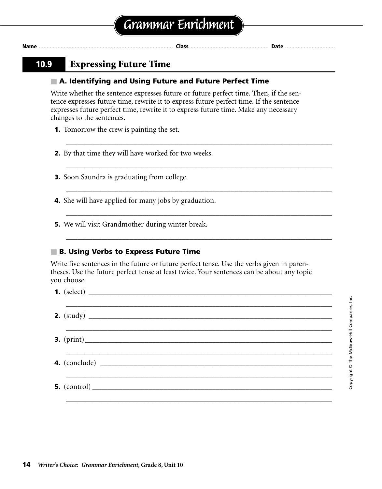### **10.9 Expressing Future Time**

#### ■ A. Identifying and Using Future and Future Perfect Time

Write whether the sentence expresses future or future perfect time. Then, if the sentence expresses future time, rewrite it to express future perfect time. If the sentence expresses future perfect time, rewrite it to express future time. Make any necessary changes to the sentences.

\_\_\_\_\_\_\_\_\_\_\_\_\_\_\_\_\_\_\_\_\_\_\_\_\_\_\_\_\_\_\_\_\_\_\_\_\_\_\_\_\_\_\_\_\_\_\_\_\_\_\_\_\_\_\_\_\_\_\_\_\_\_\_\_\_\_\_\_\_\_\_

\_\_\_\_\_\_\_\_\_\_\_\_\_\_\_\_\_\_\_\_\_\_\_\_\_\_\_\_\_\_\_\_\_\_\_\_\_\_\_\_\_\_\_\_\_\_\_\_\_\_\_\_\_\_\_\_\_\_\_\_\_\_\_\_\_\_\_\_\_\_\_

\_\_\_\_\_\_\_\_\_\_\_\_\_\_\_\_\_\_\_\_\_\_\_\_\_\_\_\_\_\_\_\_\_\_\_\_\_\_\_\_\_\_\_\_\_\_\_\_\_\_\_\_\_\_\_\_\_\_\_\_\_\_\_\_\_\_\_\_\_\_\_

\_\_\_\_\_\_\_\_\_\_\_\_\_\_\_\_\_\_\_\_\_\_\_\_\_\_\_\_\_\_\_\_\_\_\_\_\_\_\_\_\_\_\_\_\_\_\_\_\_\_\_\_\_\_\_\_\_\_\_\_\_\_\_\_\_\_\_\_\_\_\_

\_\_\_\_\_\_\_\_\_\_\_\_\_\_\_\_\_\_\_\_\_\_\_\_\_\_\_\_\_\_\_\_\_\_\_\_\_\_\_\_\_\_\_\_\_\_\_\_\_\_\_\_\_\_\_\_\_\_\_\_\_\_\_\_\_\_\_\_\_\_\_

\_\_\_\_\_\_\_\_\_\_\_\_\_\_\_\_\_\_\_\_\_\_\_\_\_\_\_\_\_\_\_\_\_\_\_\_\_\_\_\_\_\_\_\_\_\_\_\_\_\_\_\_\_\_\_\_\_\_\_\_\_\_\_\_\_\_\_\_\_\_\_

\_\_\_\_\_\_\_\_\_\_\_\_\_\_\_\_\_\_\_\_\_\_\_\_\_\_\_\_\_\_\_\_\_\_\_\_\_\_\_\_\_\_\_\_\_\_\_\_\_\_\_\_\_\_\_\_\_\_\_\_\_\_\_\_\_\_\_\_\_\_\_

\_\_\_\_\_\_\_\_\_\_\_\_\_\_\_\_\_\_\_\_\_\_\_\_\_\_\_\_\_\_\_\_\_\_\_\_\_\_\_\_\_\_\_\_\_\_\_\_\_\_\_\_\_\_\_\_\_\_\_\_\_\_\_\_\_\_\_\_\_\_\_

- **1.** Tomorrow the crew is painting the set.
- **2.** By that time they will have worked for two weeks.
- **3.** Soon Saundra is graduating from college.
- **4.** She will have applied for many jobs by graduation.
- **5.** We will visit Grandmother during winter break.

### ■ **B. Using Verbs to Express Future Time**

Write five sentences in the future or future perfect tense. Use the verbs given in parentheses. Use the future perfect tense at least twice. Your sentences can be about any topic you choose.

- **1.** (select)
- **2.** (study) \_\_\_\_\_\_\_\_\_\_\_\_\_\_\_\_\_\_\_\_\_\_\_\_\_\_\_\_\_\_\_\_\_\_\_\_\_\_\_\_\_\_\_\_\_\_\_\_\_\_\_\_\_\_\_\_\_\_\_\_\_\_\_\_\_
- **3.** (print)\_\_\_\_\_\_\_\_\_\_\_\_\_\_\_\_\_\_\_\_\_\_\_\_\_\_\_\_\_\_\_\_\_\_\_\_\_\_\_\_\_\_\_\_\_\_\_\_\_\_\_\_\_\_\_\_\_\_\_\_\_\_\_\_\_\_ \_\_\_\_\_\_\_\_\_\_\_\_\_\_\_\_\_\_\_\_\_\_\_\_\_\_\_\_\_\_\_\_\_\_\_\_\_\_\_\_\_\_\_\_\_\_\_\_\_\_\_\_\_\_\_\_\_\_\_\_\_\_\_\_\_\_\_\_\_\_\_
- **4.** (conclude)
- **5.** (control)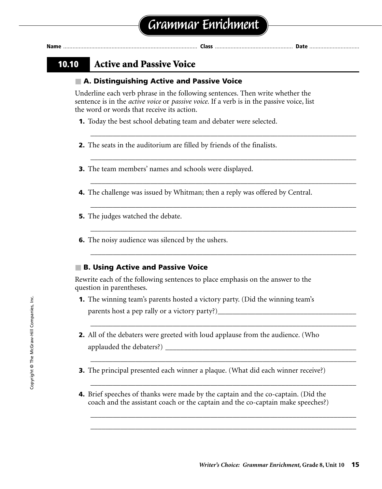### **10.10 Active and Passive Voice**

### ■ **A. Distinguishing Active and Passive Voice**

Underline each verb phrase in the following sentences. Then write whether the sentence is in the *active voice* or *passive voice.* If a verb is in the passive voice, list the word or words that receive its action.

\_\_\_\_\_\_\_\_\_\_\_\_\_\_\_\_\_\_\_\_\_\_\_\_\_\_\_\_\_\_\_\_\_\_\_\_\_\_\_\_\_\_\_\_\_\_\_\_\_\_\_\_\_\_\_\_\_\_\_\_\_\_\_\_\_\_\_\_\_\_\_

\_\_\_\_\_\_\_\_\_\_\_\_\_\_\_\_\_\_\_\_\_\_\_\_\_\_\_\_\_\_\_\_\_\_\_\_\_\_\_\_\_\_\_\_\_\_\_\_\_\_\_\_\_\_\_\_\_\_\_\_\_\_\_\_\_\_\_\_\_\_\_

\_\_\_\_\_\_\_\_\_\_\_\_\_\_\_\_\_\_\_\_\_\_\_\_\_\_\_\_\_\_\_\_\_\_\_\_\_\_\_\_\_\_\_\_\_\_\_\_\_\_\_\_\_\_\_\_\_\_\_\_\_\_\_\_\_\_\_\_\_\_\_

\_\_\_\_\_\_\_\_\_\_\_\_\_\_\_\_\_\_\_\_\_\_\_\_\_\_\_\_\_\_\_\_\_\_\_\_\_\_\_\_\_\_\_\_\_\_\_\_\_\_\_\_\_\_\_\_\_\_\_\_\_\_\_\_\_\_\_\_\_\_\_

\_\_\_\_\_\_\_\_\_\_\_\_\_\_\_\_\_\_\_\_\_\_\_\_\_\_\_\_\_\_\_\_\_\_\_\_\_\_\_\_\_\_\_\_\_\_\_\_\_\_\_\_\_\_\_\_\_\_\_\_\_\_\_\_\_\_\_\_\_\_\_

\_\_\_\_\_\_\_\_\_\_\_\_\_\_\_\_\_\_\_\_\_\_\_\_\_\_\_\_\_\_\_\_\_\_\_\_\_\_\_\_\_\_\_\_\_\_\_\_\_\_\_\_\_\_\_\_\_\_\_\_\_\_\_\_\_\_\_\_\_\_\_

\_\_\_\_\_\_\_\_\_\_\_\_\_\_\_\_\_\_\_\_\_\_\_\_\_\_\_\_\_\_\_\_\_\_\_\_\_\_\_\_\_\_\_\_\_\_\_\_\_\_\_\_\_\_\_\_\_\_\_\_\_\_\_\_\_\_\_\_\_\_\_

\_\_\_\_\_\_\_\_\_\_\_\_\_\_\_\_\_\_\_\_\_\_\_\_\_\_\_\_\_\_\_\_\_\_\_\_\_\_\_\_\_\_\_\_\_\_\_\_\_\_\_\_\_\_\_\_\_\_\_\_\_\_\_\_\_\_\_\_\_\_\_

\_\_\_\_\_\_\_\_\_\_\_\_\_\_\_\_\_\_\_\_\_\_\_\_\_\_\_\_\_\_\_\_\_\_\_\_\_\_\_\_\_\_\_\_\_\_\_\_\_\_\_\_\_\_\_\_\_\_\_\_\_\_\_\_\_\_\_\_\_\_\_

\_\_\_\_\_\_\_\_\_\_\_\_\_\_\_\_\_\_\_\_\_\_\_\_\_\_\_\_\_\_\_\_\_\_\_\_\_\_\_\_\_\_\_\_\_\_\_\_\_\_\_\_\_\_\_\_\_\_\_\_\_\_\_\_\_\_\_\_\_\_\_ \_\_\_\_\_\_\_\_\_\_\_\_\_\_\_\_\_\_\_\_\_\_\_\_\_\_\_\_\_\_\_\_\_\_\_\_\_\_\_\_\_\_\_\_\_\_\_\_\_\_\_\_\_\_\_\_\_\_\_\_\_\_\_\_\_\_\_\_\_\_\_

- **1.** Today the best school debating team and debater were selected.
- **2.** The seats in the auditorium are filled by friends of the finalists.
- **3.** The team members' names and schools were displayed.
- **4.** The challenge was issued by Whitman; then a reply was offered by Central.
- **5.** The judges watched the debate.
- **6.** The noisy audience was silenced by the ushers.

#### ■ **B. Using Active and Passive Voice**

Rewrite each of the following sentences to place emphasis on the answer to the question in parentheses.

- **1.** The winning team's parents hosted a victory party. (Did the winning team's parents host a pep rally or a victory party?)
- **2.** All of the debaters were greeted with loud applause from the audience. (Who applauded the debaters?)
- **3.** The principal presented each winner a plaque. (What did each winner receive?)
- **4.** Brief speeches of thanks were made by the captain and the co-captain. (Did the coach and the assistant coach or the captain and the co-captain make speeches?)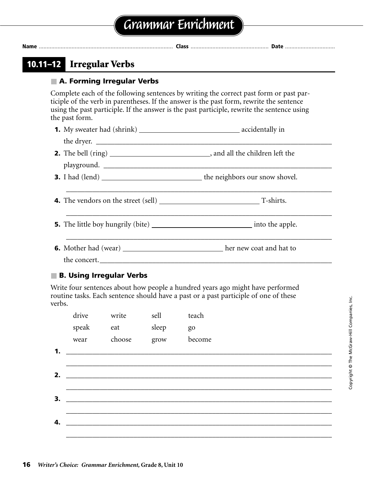| 10.11–12 Irregular Verbs   |                                                                                                                                                                                                                                                                                   |
|----------------------------|-----------------------------------------------------------------------------------------------------------------------------------------------------------------------------------------------------------------------------------------------------------------------------------|
| A. Forming Irregular Verbs |                                                                                                                                                                                                                                                                                   |
| the past form.             | Complete each of the following sentences by writing the correct past form or past par-<br>ticiple of the verb in parentheses. If the answer is the past form, rewrite the sentence<br>using the past participle. If the answer is the past participle, rewrite the sentence using |
|                            |                                                                                                                                                                                                                                                                                   |
|                            |                                                                                                                                                                                                                                                                                   |
|                            |                                                                                                                                                                                                                                                                                   |
|                            |                                                                                                                                                                                                                                                                                   |
|                            |                                                                                                                                                                                                                                                                                   |
|                            |                                                                                                                                                                                                                                                                                   |
|                            |                                                                                                                                                                                                                                                                                   |
|                            |                                                                                                                                                                                                                                                                                   |
| the concert.               |                                                                                                                                                                                                                                                                                   |

### ■ **B. Using Irregular Verbs**

Write four sentences about how people a hundred years ago might have performed routine tasks. Each sentence should have a past or a past participle of one of these verbs.

|    | drive | write  | sell  | teach  |
|----|-------|--------|-------|--------|
|    | speak | eat    | sleep | go     |
|    | wear  | choose | grow  | become |
| 1. |       |        |       |        |
|    |       |        |       |        |
| 2. |       |        |       |        |
|    |       |        |       |        |
| 3. |       |        |       |        |
|    |       |        |       |        |
| 4. |       |        |       |        |
|    |       |        |       |        |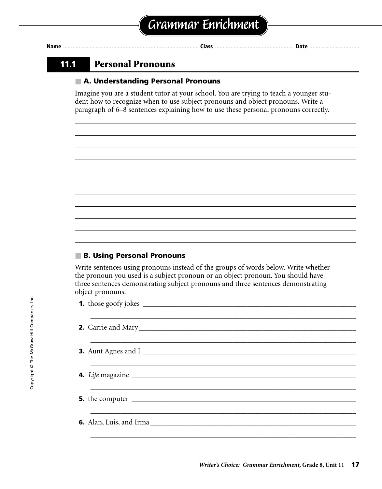### **11.1 Personal Pronouns**

#### ■ **A. Understanding Personal Pronouns**

Imagine you are a student tutor at your school. You are trying to teach a younger student how to recognize when to use subject pronouns and object pronouns. Write a paragraph of 6–8 sentences explaining how to use these personal pronouns correctly.

#### ■ **B. Using Personal Pronouns**

Write sentences using pronouns instead of the groups of words below. Write whether the pronoun you used is a subject pronoun or an object pronoun. You should have three sentences demonstrating subject pronouns and three sentences demonstrating object pronouns.

| <b>3.</b> Aunt Agnes and I |
|----------------------------|
|                            |
|                            |
|                            |
|                            |
|                            |
|                            |
|                            |
|                            |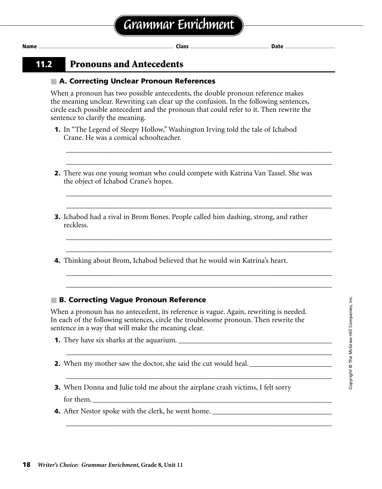### **11.2 Pronouns and Antecedents**

#### ■ **A. Correcting Unclear Pronoun References**

When a pronoun has two possible antecedents, the double pronoun reference makes the meaning unclear. Rewriting can clear up the confusion. In the following sentences, circle each possible antecedent and the pronoun that could refer to it. Then rewrite the sentence to clarify the meaning.

- **1.** In "The Legend of Sleepy Hollow," Washington Irving told the tale of Ichabod Crane. He was a comical schoolteacher.
- **2.** There was one young woman who could compete with Katrina Van Tassel. She was the object of Ichabod Crane's hopes.

\_\_\_\_\_\_\_\_\_\_\_\_\_\_\_\_\_\_\_\_\_\_\_\_\_\_\_\_\_\_\_\_\_\_\_\_\_\_\_\_\_\_\_\_\_\_\_\_\_\_\_\_\_\_\_\_\_\_\_\_\_\_\_\_\_\_\_\_\_\_\_ \_\_\_\_\_\_\_\_\_\_\_\_\_\_\_\_\_\_\_\_\_\_\_\_\_\_\_\_\_\_\_\_\_\_\_\_\_\_\_\_\_\_\_\_\_\_\_\_\_\_\_\_\_\_\_\_\_\_\_\_\_\_\_\_\_\_\_\_\_\_\_

\_\_\_\_\_\_\_\_\_\_\_\_\_\_\_\_\_\_\_\_\_\_\_\_\_\_\_\_\_\_\_\_\_\_\_\_\_\_\_\_\_\_\_\_\_\_\_\_\_\_\_\_\_\_\_\_\_\_\_\_\_\_\_\_\_\_\_\_\_\_\_ \_\_\_\_\_\_\_\_\_\_\_\_\_\_\_\_\_\_\_\_\_\_\_\_\_\_\_\_\_\_\_\_\_\_\_\_\_\_\_\_\_\_\_\_\_\_\_\_\_\_\_\_\_\_\_\_\_\_\_\_\_\_\_\_\_\_\_\_\_\_\_

\_\_\_\_\_\_\_\_\_\_\_\_\_\_\_\_\_\_\_\_\_\_\_\_\_\_\_\_\_\_\_\_\_\_\_\_\_\_\_\_\_\_\_\_\_\_\_\_\_\_\_\_\_\_\_\_\_\_\_\_\_\_\_\_\_\_\_\_\_\_\_ \_\_\_\_\_\_\_\_\_\_\_\_\_\_\_\_\_\_\_\_\_\_\_\_\_\_\_\_\_\_\_\_\_\_\_\_\_\_\_\_\_\_\_\_\_\_\_\_\_\_\_\_\_\_\_\_\_\_\_\_\_\_\_\_\_\_\_\_\_\_\_

\_\_\_\_\_\_\_\_\_\_\_\_\_\_\_\_\_\_\_\_\_\_\_\_\_\_\_\_\_\_\_\_\_\_\_\_\_\_\_\_\_\_\_\_\_\_\_\_\_\_\_\_\_\_\_\_\_\_\_\_\_\_\_\_\_\_\_\_\_\_\_ \_\_\_\_\_\_\_\_\_\_\_\_\_\_\_\_\_\_\_\_\_\_\_\_\_\_\_\_\_\_\_\_\_\_\_\_\_\_\_\_\_\_\_\_\_\_\_\_\_\_\_\_\_\_\_\_\_\_\_\_\_\_\_\_\_\_\_\_\_\_\_

\_\_\_\_\_\_\_\_\_\_\_\_\_\_\_\_\_\_\_\_\_\_\_\_\_\_\_\_\_\_\_\_\_\_\_\_\_\_\_\_\_\_\_\_\_\_\_\_\_\_\_\_\_\_\_\_\_\_\_\_\_\_\_\_\_\_\_\_\_\_\_

\_\_\_\_\_\_\_\_\_\_\_\_\_\_\_\_\_\_\_\_\_\_\_\_\_\_\_\_\_\_\_\_\_\_\_\_\_\_\_\_\_\_\_\_\_\_\_\_\_\_\_\_\_\_\_\_\_\_\_\_\_\_\_\_\_\_\_\_\_\_\_

\_\_\_\_\_\_\_\_\_\_\_\_\_\_\_\_\_\_\_\_\_\_\_\_\_\_\_\_\_\_\_\_\_\_\_\_\_\_\_\_\_\_\_\_\_\_\_\_\_\_\_\_\_\_\_\_\_\_\_\_\_\_\_\_\_\_\_\_\_\_\_

- **3.** Ichabod had a rival in Brom Bones. People called him dashing, strong, and rather reckless.
- **4.** Thinking about Brom, Ichabod believed that he would win Katrina's heart.

#### ■ **B. Correcting Vague Pronoun Reference**

When a pronoun has no antecedent, its reference is vague. Again, rewriting is needed. In each of the following sentences, circle the troublesome pronoun. Then rewrite the sentence in a way that will make the meaning clear.

- **1.** They have six sharks at the aquarium.
- **2.** When my mother saw the doctor, she said the cut would heal. \_\_\_\_\_\_\_\_\_\_\_\_\_\_\_\_\_\_\_\_\_\_
- **3.** When Donna and Julie told me about the airplane crash victims, I felt sorry for them.\_\_\_\_\_\_\_\_\_\_\_\_\_\_\_\_\_\_\_\_\_\_\_\_\_\_\_\_\_\_\_\_\_\_\_\_\_\_\_\_\_\_\_\_\_\_\_\_\_\_\_\_\_\_\_\_\_\_\_\_\_\_\_\_
- **4.** After Nestor spoke with the clerk, he went home.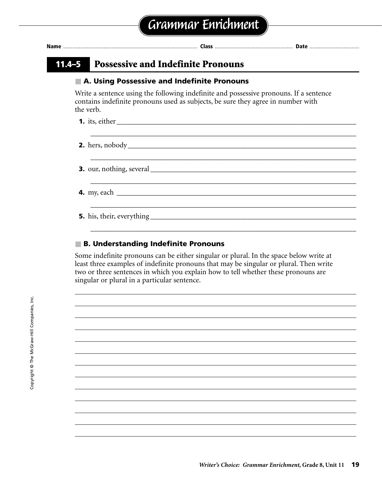| A. Using Possessive and Indefinite Pronouns                                                                                                                                             |
|-----------------------------------------------------------------------------------------------------------------------------------------------------------------------------------------|
| Write a sentence using the following indefinite and possessive pronouns. If a sentence<br>contains indefinite pronouns used as subjects, be sure they agree in number with<br>the verb. |
|                                                                                                                                                                                         |
|                                                                                                                                                                                         |
|                                                                                                                                                                                         |
|                                                                                                                                                                                         |
|                                                                                                                                                                                         |
|                                                                                                                                                                                         |

### ■ **B. Understanding Indefinite Pronouns**

Some indefinite pronouns can be either singular or plural. In the space below write at least three examples of indefinite pronouns that may be singular or plural. Then write two or three sentences in which you explain how to tell whether these pronouns are singular or plural in a particular sentence.

*Writer's Choice: Grammar Enrichment,* **Grade 8, Unit 11 19**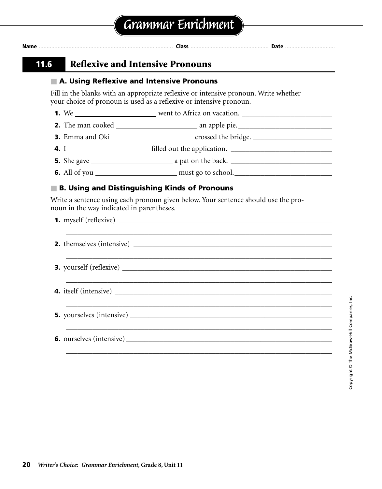|                                           | A. Using Reflexive and Intensive Pronouns                                                                                                                   |
|-------------------------------------------|-------------------------------------------------------------------------------------------------------------------------------------------------------------|
|                                           | Fill in the blanks with an appropriate reflexive or intensive pronoun. Write whether<br>your choice of pronoun is used as a reflexive or intensive pronoun. |
|                                           |                                                                                                                                                             |
|                                           |                                                                                                                                                             |
|                                           |                                                                                                                                                             |
|                                           |                                                                                                                                                             |
|                                           |                                                                                                                                                             |
|                                           |                                                                                                                                                             |
|                                           | <b>B. Using and Distinguishing Kinds of Pronouns</b><br>Write a sentence using each pronoun given below. Your sentence should use the pro-                  |
|                                           |                                                                                                                                                             |
|                                           |                                                                                                                                                             |
|                                           | <u> 1990 - Jan James James James James James James James James James James James James James James James James Ja</u>                                       |
| noun in the way indicated in parentheses. |                                                                                                                                                             |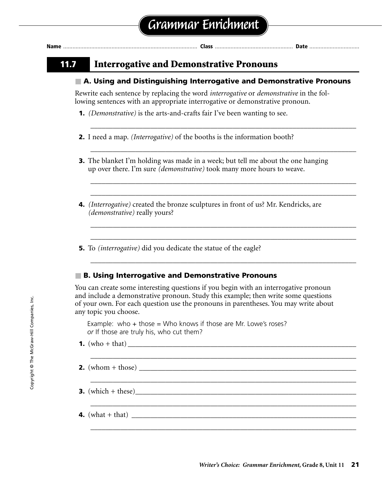| <b>Nam</b> |  |  | . Pale |
|------------|--|--|--------|
|------------|--|--|--------|

### **11.7 Interrogative and Demonstrative Pronouns**

#### ■ **A. Using and Distinguishing Interrogative and Demonstrative Pronouns**

\_\_\_\_\_\_\_\_\_\_\_\_\_\_\_\_\_\_\_\_\_\_\_\_\_\_\_\_\_\_\_\_\_\_\_\_\_\_\_\_\_\_\_\_\_\_\_\_\_\_\_\_\_\_\_\_\_\_\_\_\_\_\_\_\_\_\_\_\_\_\_

\_\_\_\_\_\_\_\_\_\_\_\_\_\_\_\_\_\_\_\_\_\_\_\_\_\_\_\_\_\_\_\_\_\_\_\_\_\_\_\_\_\_\_\_\_\_\_\_\_\_\_\_\_\_\_\_\_\_\_\_\_\_\_\_\_\_\_\_\_\_\_

\_\_\_\_\_\_\_\_\_\_\_\_\_\_\_\_\_\_\_\_\_\_\_\_\_\_\_\_\_\_\_\_\_\_\_\_\_\_\_\_\_\_\_\_\_\_\_\_\_\_\_\_\_\_\_\_\_\_\_\_\_\_\_\_\_\_\_\_\_\_\_ \_\_\_\_\_\_\_\_\_\_\_\_\_\_\_\_\_\_\_\_\_\_\_\_\_\_\_\_\_\_\_\_\_\_\_\_\_\_\_\_\_\_\_\_\_\_\_\_\_\_\_\_\_\_\_\_\_\_\_\_\_\_\_\_\_\_\_\_\_\_\_

\_\_\_\_\_\_\_\_\_\_\_\_\_\_\_\_\_\_\_\_\_\_\_\_\_\_\_\_\_\_\_\_\_\_\_\_\_\_\_\_\_\_\_\_\_\_\_\_\_\_\_\_\_\_\_\_\_\_\_\_\_\_\_\_\_\_\_\_\_\_\_ \_\_\_\_\_\_\_\_\_\_\_\_\_\_\_\_\_\_\_\_\_\_\_\_\_\_\_\_\_\_\_\_\_\_\_\_\_\_\_\_\_\_\_\_\_\_\_\_\_\_\_\_\_\_\_\_\_\_\_\_\_\_\_\_\_\_\_\_\_\_\_

\_\_\_\_\_\_\_\_\_\_\_\_\_\_\_\_\_\_\_\_\_\_\_\_\_\_\_\_\_\_\_\_\_\_\_\_\_\_\_\_\_\_\_\_\_\_\_\_\_\_\_\_\_\_\_\_\_\_\_\_\_\_\_\_\_\_\_\_\_\_\_

\_\_\_\_\_\_\_\_\_\_\_\_\_\_\_\_\_\_\_\_\_\_\_\_\_\_\_\_\_\_\_\_\_\_\_\_\_\_\_\_\_\_\_\_\_\_\_\_\_\_\_\_\_\_\_\_\_\_\_\_\_\_\_\_\_\_\_\_\_\_\_

\_\_\_\_\_\_\_\_\_\_\_\_\_\_\_\_\_\_\_\_\_\_\_\_\_\_\_\_\_\_\_\_\_\_\_\_\_\_\_\_\_\_\_\_\_\_\_\_\_\_\_\_\_\_\_\_\_\_\_\_\_\_\_\_\_\_\_\_\_\_\_

\_\_\_\_\_\_\_\_\_\_\_\_\_\_\_\_\_\_\_\_\_\_\_\_\_\_\_\_\_\_\_\_\_\_\_\_\_\_\_\_\_\_\_\_\_\_\_\_\_\_\_\_\_\_\_\_\_\_\_\_\_\_\_\_\_\_\_\_\_\_\_

\_\_\_\_\_\_\_\_\_\_\_\_\_\_\_\_\_\_\_\_\_\_\_\_\_\_\_\_\_\_\_\_\_\_\_\_\_\_\_\_\_\_\_\_\_\_\_\_\_\_\_\_\_\_\_\_\_\_\_\_\_\_\_\_\_\_\_\_\_\_\_

Rewrite each sentence by replacing the word *interrogative* or *demonstrative* in the following sentences with an appropriate interrogative or demonstrative pronoun.

- **1.** *(Demonstrative)* is the arts-and-crafts fair I've been wanting to see.
- **2.** I need a map. *(Interrogative)* of the booths is the information booth?
- **3.** The blanket I'm holding was made in a week; but tell me about the one hanging up over there. I'm sure *(demonstrative)* took many more hours to weave.
- **4.** *(Interrogative)* created the bronze sculptures in front of us? Mr. Kendricks, are *(demonstrative)* really yours?
- **5.** To *(interrogative)* did you dedicate the statue of the eagle?

#### ■ **B. Using Interrogative and Demonstrative Pronouns**

You can create some interesting questions if you begin with an interrogative pronoun and include a demonstrative pronoun. Study this example; then write some questions of your own. For each question use the pronouns in parentheses. You may write about any topic you choose.

Example: who  $+$  those  $=$  Who knows if those are Mr. Lowe's roses? *or* If those are truly his, who cut them?

- **1.** (who + that) \_\_\_\_\_\_\_\_\_\_\_\_\_\_\_\_\_\_\_\_\_\_\_\_\_\_\_\_\_\_\_\_\_\_\_\_\_\_\_\_\_\_\_\_\_\_\_\_\_\_\_\_\_\_\_\_\_\_\_\_\_
- **2.** (whom + those)  $\blacksquare$
- **3.** (which + these)
- **4.** (what + that)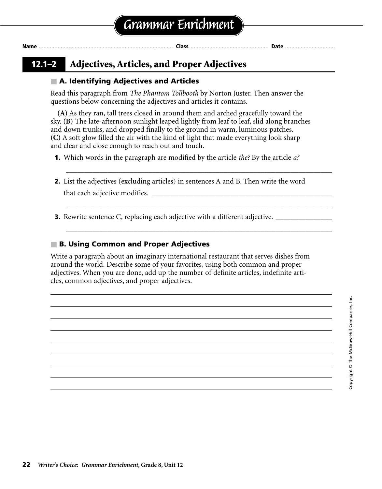| . .<br>۰. |  |
|-----------|--|

### **12.1–2 Adjectives, Articles, and Proper Adjectives**

### ■ **A. Identifying Adjectives and Articles**

Read this paragraph from *The Phantom Tollbooth* by Norton Juster. Then answer the questions below concerning the adjectives and articles it contains.

**(A)** As they ran, tall trees closed in around them and arched gracefully toward the sky. **(B)** The late-afternoon sunlight leaped lightly from leaf to leaf, slid along branches and down trunks, and dropped finally to the ground in warm, luminous patches. **(C)** A soft glow filled the air with the kind of light that made everything look sharp and clear and close enough to reach out and touch.

**1.** Which words in the paragraph are modified by the article *the?* By the article *a?*

**2.** List the adjectives (excluding articles) in sentences A and B. Then write the word

*\_\_\_\_\_\_\_\_\_\_\_\_\_\_\_\_\_\_\_\_\_\_\_\_\_\_\_\_\_\_\_\_\_\_\_\_\_\_\_\_\_\_\_\_\_\_\_\_\_\_\_\_\_\_\_\_\_\_\_\_\_\_\_\_\_\_\_\_\_\_\_*

\_\_\_\_\_\_\_\_\_\_\_\_\_\_\_\_\_\_\_\_\_\_\_\_\_\_\_\_\_\_\_\_\_\_\_\_\_\_\_\_\_\_\_\_\_\_\_\_\_\_\_\_\_\_\_\_\_\_\_\_\_\_\_\_\_\_\_\_\_\_\_

\_\_\_\_\_\_\_\_\_\_\_\_\_\_\_\_\_\_\_\_\_\_\_\_\_\_\_\_\_\_\_\_\_\_\_\_\_\_\_\_\_\_\_\_\_\_\_\_\_\_\_\_\_\_\_\_\_\_\_\_\_\_\_\_\_\_\_\_\_\_\_

that each adjective modifies. \_\_\_\_\_\_\_\_\_\_\_\_\_\_\_\_\_\_\_\_\_\_\_\_\_\_\_\_\_\_\_\_\_\_\_\_\_\_\_\_\_\_\_\_\_\_\_\_

**3.** Rewrite sentence C, replacing each adjective with a different adjective.

### ■ **B. Using Common and Proper Adjectives**

Write a paragraph about an imaginary international restaurant that serves dishes from around the world. Describe some of your favorites, using both common and proper adjectives. When you are done, add up the number of definite articles, indefinite articles, common adjectives, and proper adjectives.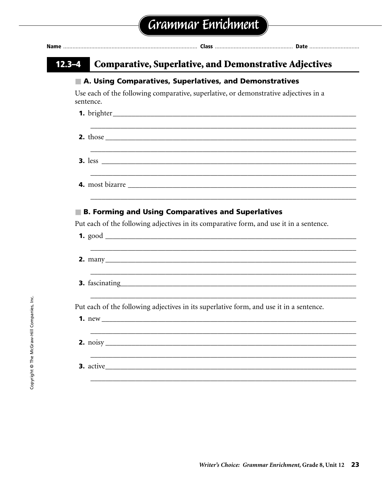| $12.3 - 4$ | <b>Comparative, Superlative, and Demonstrative Adjectives</b>                           |
|------------|-----------------------------------------------------------------------------------------|
|            | A. Using Comparatives, Superlatives, and Demonstratives                                 |
| sentence.  | Use each of the following comparative, superlative, or demonstrative adjectives in a    |
|            |                                                                                         |
|            |                                                                                         |
|            |                                                                                         |
|            |                                                                                         |
|            | <b>B. Forming and Using Comparatives and Superlatives</b>                               |
|            | Put each of the following adjectives in its comparative form, and use it in a sentence. |
|            |                                                                                         |
|            |                                                                                         |
|            | Put each of the following adjectives in its superlative form, and use it in a sentence. |
|            | $1. new_$                                                                               |
|            | $\frac{2. \text{ noisy}}{2. \text{noisy}}$<br>3. active                                 |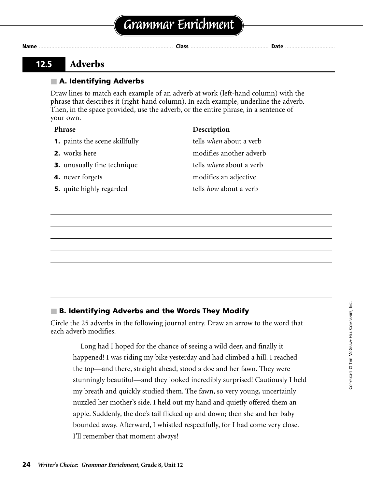### **12.5 Adverbs**

### ■ **A. Identifying Adverbs**

Draw lines to match each example of an adverb at work (left-hand column) with the phrase that describes it (right-hand column). In each example, underline the adverb. Then, in the space provided, use the adverb, or the entire phrase, in a sentence of your own.

| <b>Phrase</b>                         | Description                     |
|---------------------------------------|---------------------------------|
| <b>1.</b> paints the scene skillfully | tells when about a verb         |
| <b>2.</b> works here                  | modifies another adverb         |
| <b>3.</b> unusually fine technique    | tells <i>where</i> about a verb |
| 4. never forgets                      | modifies an adjective           |
| <b>5.</b> quite highly regarded       | tells <i>how</i> about a verb   |

### ■ **B. Identifying Adverbs and the Words They Modify**

Circle the 25 adverbs in the following journal entry. Draw an arrow to the word that each adverb modifies.

Long had I hoped for the chance of seeing a wild deer, and finally it happened! I was riding my bike yesterday and had climbed a hill. I reached the top—and there, straight ahead, stood a doe and her fawn. They were stunningly beautiful—and they looked incredibly surprised! Cautiously I held my breath and quickly studied them. The fawn, so very young, uncertainly nuzzled her mother's side. I held out my hand and quietly offered them an apple. Suddenly, the doe's tail flicked up and down; then she and her baby bounded away. Afterward, I whistled respectfully, for I had come very close. I'll remember that moment always!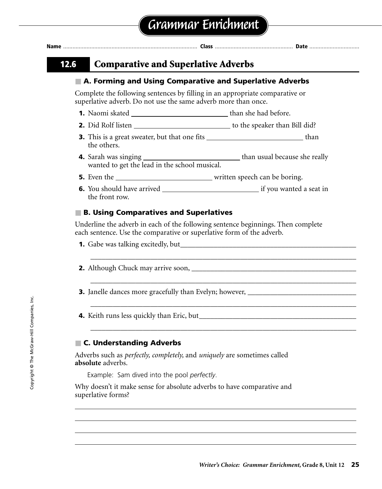**Name** ...................................................................................... **Class** .................................................. **Date** ................................

### **12.6 Comparative and Superlative Adverbs**

### ■ **A. Forming and Using Comparative and Superlative Adverbs**

Complete the following sentences by filling in an appropriate comparative or superlative adverb. Do not use the same adverb more than once.

- **1.** Naomi skated than she had before.
- **2.** Did Rolf listen to the speaker than Bill did?
- **3.** This is a great sweater, but that one fits **than** than the others.
- **4.** Sarah was singing than usual because she really wanted to get the lead in the school musical.
- **5.** Even the written speech can be boring.
- **6.** You should have arrived if you wanted a seat in the front row.

### ■ **B. Using Comparatives and Superlatives**

Underline the adverb in each of the following sentence beginnings. Then complete each sentence. Use the comparative or superlative form of the adverb.

\_\_\_\_\_\_\_\_\_\_\_\_\_\_\_\_\_\_\_\_\_\_\_\_\_\_\_\_\_\_\_\_\_\_\_\_\_\_\_\_\_\_\_\_\_\_\_\_\_\_\_\_\_\_\_\_\_\_\_\_\_\_\_\_\_\_\_\_\_\_\_

\_\_\_\_\_\_\_\_\_\_\_\_\_\_\_\_\_\_\_\_\_\_\_\_\_\_\_\_\_\_\_\_\_\_\_\_\_\_\_\_\_\_\_\_\_\_\_\_\_\_\_\_\_\_\_\_\_\_\_\_\_\_\_\_\_\_\_\_\_\_\_

\_\_\_\_\_\_\_\_\_\_\_\_\_\_\_\_\_\_\_\_\_\_\_\_\_\_\_\_\_\_\_\_\_\_\_\_\_\_\_\_\_\_\_\_\_\_\_\_\_\_\_\_\_\_\_\_\_\_\_\_\_\_\_\_\_\_\_\_\_\_\_

\_\_\_\_\_\_\_\_\_\_\_\_\_\_\_\_\_\_\_\_\_\_\_\_\_\_\_\_\_\_\_\_\_\_\_\_\_\_\_\_\_\_\_\_\_\_\_\_\_\_\_\_\_\_\_\_\_\_\_\_\_\_\_\_\_\_\_\_\_\_\_

- **1.** Gabe was talking excitedly, but
- **2.** Although Chuck may arrive soon, \_\_\_\_\_\_\_\_\_\_\_\_\_\_\_\_\_\_\_\_\_\_\_\_\_\_\_\_\_\_\_\_\_\_\_\_\_\_\_\_\_\_\_\_
- **3.** Janelle dances more gracefully than Evelyn; however,
- **4.** Keith runs less quickly than Eric, but\_\_\_\_\_\_\_\_\_\_\_\_\_\_\_\_\_\_\_\_\_\_\_\_\_\_\_\_\_\_\_\_\_\_\_\_\_\_\_\_\_\_

### ■ **C. Understanding Adverbs**

Adverbs such as *perfectly, completely,* and *uniquely* are sometimes called **absolute** adverbs.

Example: Sam dived into the pool *perfectly*.

Why doesn't it make sense for absolute adverbs to have comparative and superlative forms?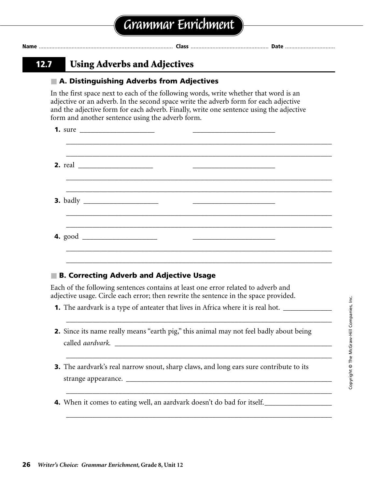### **12.7 Using Adverbs and Adjectives**

### ■ **A. Distinguishing Adverbs from Adjectives**

In the first space next to each of the following words, write whether that word is an adjective or an adverb. In the second space write the adverb form for each adjective and the adjective form for each adverb. Finally, write one sentence using the adjective form and another sentence using the adverb form.

|  | 2. real $\overline{\qquad \qquad }$ $\qquad \qquad$ $\qquad \qquad$ $\qquad$ $\qquad \qquad$ $\qquad$ $\qquad$ $\qquad$ $\qquad$ $\qquad$ $\qquad$ $\qquad$ $\qquad$ $\qquad$ $\qquad$ $\qquad$ $\qquad$ $\qquad$ $\qquad$ $\qquad$ $\qquad$ $\qquad$ $\qquad$ $\qquad$ $\qquad$ $\qquad$ $\qquad$ $\qquad$ $\qquad$ $\qquad$ $\qquad$ $\qquad$ $\qquad$ |  |                                                                                                                       |  |
|--|----------------------------------------------------------------------------------------------------------------------------------------------------------------------------------------------------------------------------------------------------------------------------------------------------------------------------------------------------------|--|-----------------------------------------------------------------------------------------------------------------------|--|
|  | <u>,这就是一个人的人,我们就是一个人的人,我们就是一个人的人,我们就是一个人的人,我们就是一个人的人,我们就是一个人的人,我们就是一个人的人,我们就是一个人的人</u>                                                                                                                                                                                                                                                                   |  |                                                                                                                       |  |
|  |                                                                                                                                                                                                                                                                                                                                                          |  | <u> 1980 - Jan James James Jan James James Jan James James Jan James James Jan Jan James James Jan Jan Jan Jan Ja</u> |  |
|  |                                                                                                                                                                                                                                                                                                                                                          |  |                                                                                                                       |  |

### ■ **B. Correcting Adverb and Adjective Usage**

Each of the following sentences contains at least one error related to adverb and adjective usage. Circle each error; then rewrite the sentence in the space provided.

- **1.** The aardvark is a type of anteater that lives in Africa where it is real hot.
- **2.** Since its name really means "earth pig," this animal may not feel badly about being called *aardvark*.

\_\_\_\_\_\_\_\_\_\_\_\_\_\_\_\_\_\_\_\_\_\_\_\_\_\_\_\_\_\_\_\_\_\_\_\_\_\_\_\_\_\_\_\_\_\_\_\_\_\_\_\_\_\_\_\_\_\_\_\_\_\_\_\_\_\_\_\_\_\_\_

*\_\_\_\_\_\_\_\_\_\_\_\_\_\_\_\_\_\_\_\_\_\_\_\_\_\_\_\_\_\_\_\_\_\_\_\_\_\_\_\_\_\_\_\_\_\_\_\_\_\_\_\_\_\_\_\_\_\_\_\_\_\_\_\_\_\_\_\_\_\_\_*

\_\_\_\_\_\_\_\_\_\_\_\_\_\_\_\_\_\_\_\_\_\_\_\_\_\_\_\_\_\_\_\_\_\_\_\_\_\_\_\_\_\_\_\_\_\_\_\_\_\_\_\_\_\_\_\_\_\_\_\_\_\_\_\_\_\_\_\_\_\_\_

\_\_\_\_\_\_\_\_\_\_\_\_\_\_\_\_\_\_\_\_\_\_\_\_\_\_\_\_\_\_\_\_\_\_\_\_\_\_\_\_\_\_\_\_\_\_\_\_\_\_\_\_\_\_\_\_\_\_\_\_\_\_\_\_\_\_\_\_\_\_\_

- **3.** The aardvark's real narrow snout, sharp claws, and long ears sure contribute to its strange appearance.
- **4.** When it comes to eating well, an aardvark doesn't do bad for itself.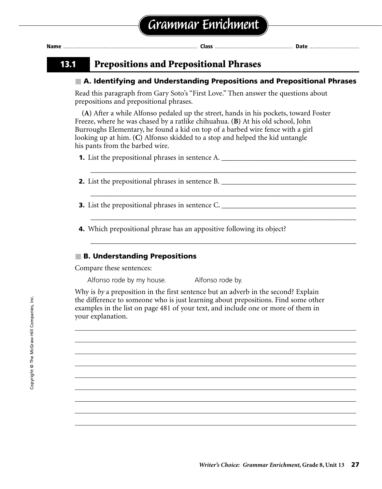| Name |  |  | . |  |  |
|------|--|--|---|--|--|
|------|--|--|---|--|--|

### **13.1 Prepositions and Prepositional Phrases**

### ■ **A. Identifying and Understanding Prepositions and Prepositional Phrases**

\_\_\_\_\_\_\_\_\_\_\_\_\_\_\_\_\_\_\_\_\_\_\_\_\_\_\_\_\_\_\_\_\_\_\_\_\_\_\_\_\_\_\_\_\_\_\_\_\_\_\_\_\_\_\_\_\_\_\_\_\_\_\_\_\_\_\_\_\_\_\_

\_\_\_\_\_\_\_\_\_\_\_\_\_\_\_\_\_\_\_\_\_\_\_\_\_\_\_\_\_\_\_\_\_\_\_\_\_\_\_\_\_\_\_\_\_\_\_\_\_\_\_\_\_\_\_\_\_\_\_\_\_\_\_\_\_\_\_\_\_\_\_

\_\_\_\_\_\_\_\_\_\_\_\_\_\_\_\_\_\_\_\_\_\_\_\_\_\_\_\_\_\_\_\_\_\_\_\_\_\_\_\_\_\_\_\_\_\_\_\_\_\_\_\_\_\_\_\_\_\_\_\_\_\_\_\_\_\_\_\_\_\_\_

\_\_\_\_\_\_\_\_\_\_\_\_\_\_\_\_\_\_\_\_\_\_\_\_\_\_\_\_\_\_\_\_\_\_\_\_\_\_\_\_\_\_\_\_\_\_\_\_\_\_\_\_\_\_\_\_\_\_\_\_\_\_\_\_\_\_\_\_\_\_\_

Read this paragraph from Gary Soto's "First Love." Then answer the questions about prepositions and prepositional phrases.

**(A)** After a while Alfonso pedaled up the street, hands in his pockets, toward Foster Freeze, where he was chased by a ratlike chihuahua. **(B)** At his old school, John Burroughs Elementary, he found a kid on top of a barbed wire fence with a girl looking up at him. **(C)** Alfonso skidded to a stop and helped the kid untangle his pants from the barbed wire.

**1.** List the prepositional phrases in sentence A.

- **2.** List the prepositional phrases in sentence B.
- **3.** List the prepositional phrases in sentence C.
- **4.** Which prepositional phrase has an appositive following its object?

#### ■ **B. Understanding Prepositions**

Compare these sentences:

Alfonso rode by my house. Alfonso rode by.

Why is *by* a preposition in the first sentence but an adverb in the second? Explain the difference to someone who is just learning about prepositions. Find some other examples in the list on page 481 of your text, and include one or more of them in your explanation.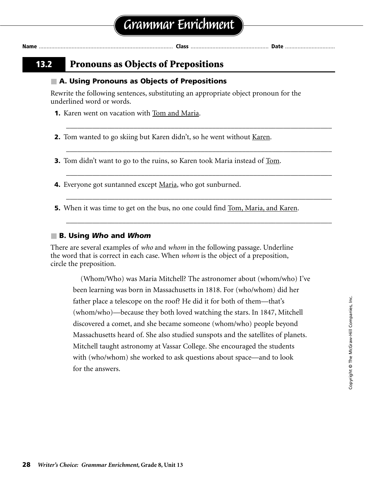### **13.2 Pronouns as Objects of Prepositions**

#### ■ **A. Using Pronouns as Objects of Prepositions**

Rewrite the following sentences, substituting an appropriate object pronoun for the underlined word or words.

\_\_\_\_\_\_\_\_\_\_\_\_\_\_\_\_\_\_\_\_\_\_\_\_\_\_\_\_\_\_\_\_\_\_\_\_\_\_\_\_\_\_\_\_\_\_\_\_\_\_\_\_\_\_\_\_\_\_\_\_\_\_\_\_\_\_\_\_\_\_\_

**Name** ...................................................................................... **Class** .................................................. **Date** ................................

\_\_\_\_\_\_\_\_\_\_\_\_\_\_\_\_\_\_\_\_\_\_\_\_\_\_\_\_\_\_\_\_\_\_\_\_\_\_\_\_\_\_\_\_\_\_\_\_\_\_\_\_\_\_\_\_\_\_\_\_\_\_\_\_\_\_\_\_\_\_\_

\_\_\_\_\_\_\_\_\_\_\_\_\_\_\_\_\_\_\_\_\_\_\_\_\_\_\_\_\_\_\_\_\_\_\_\_\_\_\_\_\_\_\_\_\_\_\_\_\_\_\_\_\_\_\_\_\_\_\_\_\_\_\_\_\_\_\_\_\_\_\_

\_\_\_\_\_\_\_\_\_\_\_\_\_\_\_\_\_\_\_\_\_\_\_\_\_\_\_\_\_\_\_\_\_\_\_\_\_\_\_\_\_\_\_\_\_\_\_\_\_\_\_\_\_\_\_\_\_\_\_\_\_\_\_\_\_\_\_\_\_\_\_

\_\_\_\_\_\_\_\_\_\_\_\_\_\_\_\_\_\_\_\_\_\_\_\_\_\_\_\_\_\_\_\_\_\_\_\_\_\_\_\_\_\_\_\_\_\_\_\_\_\_\_\_\_\_\_\_\_\_\_\_\_\_\_\_\_\_\_\_\_\_\_

**1.** Karen went on vacation with Tom and Maria.

**2.** Tom wanted to go skiing but Karen didn't, so he went without <u>Karen</u>.

**3.** Tom didn't want to go to the ruins, so Karen took Maria instead of Tom.

**4.** Everyone got suntanned except Maria, who got sunburned.

**5.** When it was time to get on the bus, no one could find <u>Tom, Maria, and Karen</u>.

#### ■ **B. Using** *Who* **and** *Whom*

There are several examples of *who* and *whom* in the following passage. Underline the word that is correct in each case. When *whom* is the object of a preposition, circle the preposition.

(Whom/Who) was Maria Mitchell? The astronomer about (whom/who) I've been learning was born in Massachusetts in 1818. For (who/whom) did her father place a telescope on the roof? He did it for both of them—that's (whom/who)—because they both loved watching the stars. In 1847, Mitchell discovered a comet, and she became someone (whom/who) people beyond Massachusetts heard of. She also studied sunspots and the satellites of planets. Mitchell taught astronomy at Vassar College. She encouraged the students with (who/whom) she worked to ask questions about space—and to look for the answers.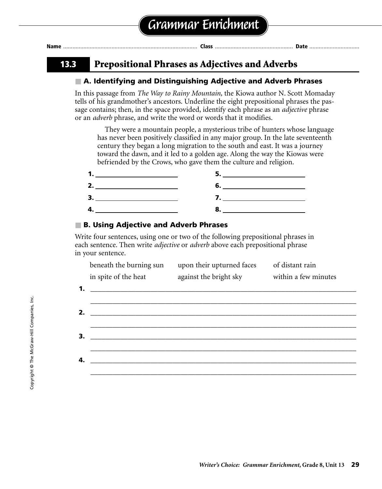| Nam |  |  |
|-----|--|--|
|-----|--|--|

### **13.3 Prepositional Phrases as Adjectives and Adverbs**

#### ■ **A. Identifying and Distinguishing Adjective and Adverb Phrases**

In this passage from *The Way to Rainy Mountain,* the Kiowa author N. Scott Momaday tells of his grandmother's ancestors. Underline the eight prepositional phrases the passage contains; then, in the space provided, identify each phrase as an *adjective* phrase or an *adverb* phrase, and write the word or words that it modifies.

They were a mountain people, a mysterious tribe of hunters whose language has never been positively classified in any major group. In the late seventeenth century they began a long migration to the south and east. It was a journey toward the dawn, and it led to a golden age. Along the way the Kiowas were befriended by the Crows, who gave them the culture and religion.

| <u>and the state of the state of the state of the state of the state of the state of the state of the state of the state of the state of the state of the state of the state of the state of the state of the state of the state</u> |
|--------------------------------------------------------------------------------------------------------------------------------------------------------------------------------------------------------------------------------------|
|                                                                                                                                                                                                                                      |
|                                                                                                                                                                                                                                      |

#### ■ **B. Using Adjective and Adverb Phrases**

Write four sentences, using one or two of the following prepositional phrases in each sentence. Then write *adjective* or *adverb* above each prepositional phrase in your sentence.

|    | beneath the burning sun                                        | upon their upturned faces                                 | of distant rain |
|----|----------------------------------------------------------------|-----------------------------------------------------------|-----------------|
|    | in spite of the heat                                           | against the bright sky within a few minutes               |                 |
|    | 1. $\overline{\phantom{a}}$ <b>1.</b> $\overline{\phantom{a}}$ |                                                           |                 |
|    |                                                                |                                                           |                 |
| 2. |                                                                | <u> 1980 - John Stein, Amerikaansk politiker († 1908)</u> |                 |
|    |                                                                |                                                           |                 |
| 3. |                                                                |                                                           |                 |
|    |                                                                |                                                           |                 |
| 4. |                                                                |                                                           |                 |
|    |                                                                |                                                           |                 |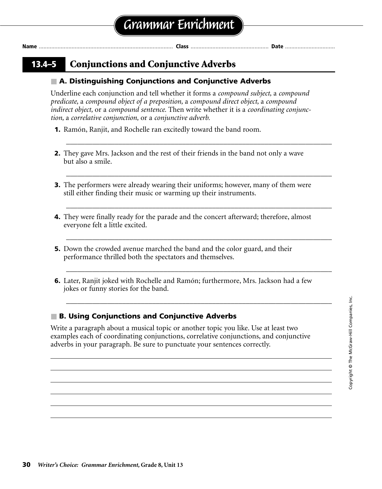### **13.4–5 Conjunctions and Conjunctive Adverbs**

### ■ **A. Distinguishing Conjunctions and Conjunctive Adverbs**

Underline each conjunction and tell whether it forms a *compound subject,* a *compound predicate,* a *compound object of a preposition,* a *compound direct object,* a *compound indirect object,* or a *compound sentence.* Then write whether it is a *coordinating conjunction,* a *correlative conjunction,* or a *conjunctive adverb.*

- **1.** Ramón, Ranjit, and Rochelle ran excitedly toward the band room.
- **2.** They gave Mrs. Jackson and the rest of their friends in the band not only a wave but also a smile.

\_\_\_\_\_\_\_\_\_\_\_\_\_\_\_\_\_\_\_\_\_\_\_\_\_\_\_\_\_\_\_\_\_\_\_\_\_\_\_\_\_\_\_\_\_\_\_\_\_\_\_\_\_\_\_\_\_\_\_\_\_\_\_\_\_\_\_\_\_\_\_

\_\_\_\_\_\_\_\_\_\_\_\_\_\_\_\_\_\_\_\_\_\_\_\_\_\_\_\_\_\_\_\_\_\_\_\_\_\_\_\_\_\_\_\_\_\_\_\_\_\_\_\_\_\_\_\_\_\_\_\_\_\_\_\_\_\_\_\_\_\_\_

\_\_\_\_\_\_\_\_\_\_\_\_\_\_\_\_\_\_\_\_\_\_\_\_\_\_\_\_\_\_\_\_\_\_\_\_\_\_\_\_\_\_\_\_\_\_\_\_\_\_\_\_\_\_\_\_\_\_\_\_\_\_\_\_\_\_\_\_\_\_\_

\_\_\_\_\_\_\_\_\_\_\_\_\_\_\_\_\_\_\_\_\_\_\_\_\_\_\_\_\_\_\_\_\_\_\_\_\_\_\_\_\_\_\_\_\_\_\_\_\_\_\_\_\_\_\_\_\_\_\_\_\_\_\_\_\_\_\_\_\_\_\_

\_\_\_\_\_\_\_\_\_\_\_\_\_\_\_\_\_\_\_\_\_\_\_\_\_\_\_\_\_\_\_\_\_\_\_\_\_\_\_\_\_\_\_\_\_\_\_\_\_\_\_\_\_\_\_\_\_\_\_\_\_\_\_\_\_\_\_\_\_\_\_

\_\_\_\_\_\_\_\_\_\_\_\_\_\_\_\_\_\_\_\_\_\_\_\_\_\_\_\_\_\_\_\_\_\_\_\_\_\_\_\_\_\_\_\_\_\_\_\_\_\_\_\_\_\_\_\_\_\_\_\_\_\_\_\_\_\_\_\_\_\_\_

- **3.** The performers were already wearing their uniforms; however, many of them were still either finding their music or warming up their instruments.
- **4.** They were finally ready for the parade and the concert afterward; therefore, almost everyone felt a little excited.
- **5.** Down the crowded avenue marched the band and the color guard, and their performance thrilled both the spectators and themselves.
- **6.** Later, Ranjit joked with Rochelle and Ramón; furthermore, Mrs. Jackson had a few jokes or funny stories for the band.

### ■ **B. Using Conjunctions and Conjunctive Adverbs**

Write a paragraph about a musical topic or another topic you like. Use at least two examples each of coordinating conjunctions, correlative conjunctions, and conjunctive adverbs in your paragraph. Be sure to punctuate your sentences correctly.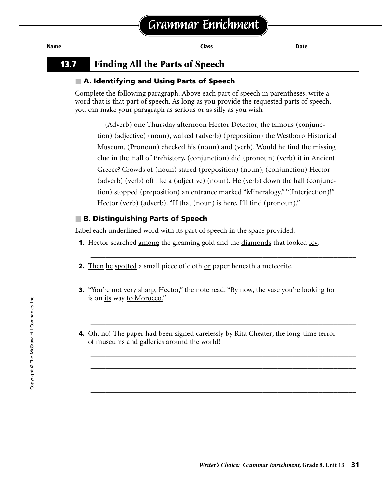| Nam |  |  |  |
|-----|--|--|--|
|-----|--|--|--|

### **13.7 Finding All the Parts of Speech**

### ■ **A. Identifying and Using Parts of Speech**

Complete the following paragraph. Above each part of speech in parentheses, write a word that is that part of speech. As long as you provide the requested parts of speech, you can make your paragraph as serious or as silly as you wish.

(Adverb) one Thursday afternoon Hector Detector, the famous (conjunction) (adjective) (noun), walked (adverb) (preposition) the Westboro Historical Museum. (Pronoun) checked his (noun) and (verb). Would he find the missing clue in the Hall of Prehistory, (conjunction) did (pronoun) (verb) it in Ancient Greece? Crowds of (noun) stared (preposition) (noun), (conjunction) Hector (adverb) (verb) off like a (adjective) (noun). He (verb) down the hall (conjunction) stopped (preposition) an entrance marked "Mineralogy." "(Interjection)!" Hector (verb) (adverb). "If that (noun) is here, I'll find (pronoun)."

### ■ **B. Distinguishing Parts of Speech**

Label each underlined word with its part of speech in the space provided.

- **1.** Hector searched <u>among</u> the gleaming gold and the <u>diamonds</u> that looked <u>icy</u>.
- **2.** Then he spotted a small piece of cloth <u>or</u> paper beneath a meteorite.
- **3.** "You're not very sharp, Hector," the note read. "By now, the vase you're looking for is on its way to Morocco."

\_\_\_\_\_\_\_\_\_\_\_\_\_\_\_\_\_\_\_\_\_\_\_\_\_\_\_\_\_\_\_\_\_\_\_\_\_\_\_\_\_\_\_\_\_\_\_\_\_\_\_\_\_\_\_\_\_\_\_\_\_\_\_\_\_\_\_\_\_\_\_

\_\_\_\_\_\_\_\_\_\_\_\_\_\_\_\_\_\_\_\_\_\_\_\_\_\_\_\_\_\_\_\_\_\_\_\_\_\_\_\_\_\_\_\_\_\_\_\_\_\_\_\_\_\_\_\_\_\_\_\_\_\_\_\_\_\_\_\_\_\_\_

\_\_\_\_\_\_\_\_\_\_\_\_\_\_\_\_\_\_\_\_\_\_\_\_\_\_\_\_\_\_\_\_\_\_\_\_\_\_\_\_\_\_\_\_\_\_\_\_\_\_\_\_\_\_\_\_\_\_\_\_\_\_\_\_\_\_\_\_\_\_\_ \_\_\_\_\_\_\_\_\_\_\_\_\_\_\_\_\_\_\_\_\_\_\_\_\_\_\_\_\_\_\_\_\_\_\_\_\_\_\_\_\_\_\_\_\_\_\_\_\_\_\_\_\_\_\_\_\_\_\_\_\_\_\_\_\_\_\_\_\_\_\_

\_\_\_\_\_\_\_\_\_\_\_\_\_\_\_\_\_\_\_\_\_\_\_\_\_\_\_\_\_\_\_\_\_\_\_\_\_\_\_\_\_\_\_\_\_\_\_\_\_\_\_\_\_\_\_\_\_\_\_\_\_\_\_\_\_\_\_\_\_\_\_ \_\_\_\_\_\_\_\_\_\_\_\_\_\_\_\_\_\_\_\_\_\_\_\_\_\_\_\_\_\_\_\_\_\_\_\_\_\_\_\_\_\_\_\_\_\_\_\_\_\_\_\_\_\_\_\_\_\_\_\_\_\_\_\_\_\_\_\_\_\_\_ \_\_\_\_\_\_\_\_\_\_\_\_\_\_\_\_\_\_\_\_\_\_\_\_\_\_\_\_\_\_\_\_\_\_\_\_\_\_\_\_\_\_\_\_\_\_\_\_\_\_\_\_\_\_\_\_\_\_\_\_\_\_\_\_\_\_\_\_\_\_\_ \_\_\_\_\_\_\_\_\_\_\_\_\_\_\_\_\_\_\_\_\_\_\_\_\_\_\_\_\_\_\_\_\_\_\_\_\_\_\_\_\_\_\_\_\_\_\_\_\_\_\_\_\_\_\_\_\_\_\_\_\_\_\_\_\_\_\_\_\_\_\_ \_\_\_\_\_\_\_\_\_\_\_\_\_\_\_\_\_\_\_\_\_\_\_\_\_\_\_\_\_\_\_\_\_\_\_\_\_\_\_\_\_\_\_\_\_\_\_\_\_\_\_\_\_\_\_\_\_\_\_\_\_\_\_\_\_\_\_\_\_\_\_ \_\_\_\_\_\_\_\_\_\_\_\_\_\_\_\_\_\_\_\_\_\_\_\_\_\_\_\_\_\_\_\_\_\_\_\_\_\_\_\_\_\_\_\_\_\_\_\_\_\_\_\_\_\_\_\_\_\_\_\_\_\_\_\_\_\_\_\_\_\_\_

**4.** Oh, no! The paper had been signed carelessly by Rita Cheater, the long-time terror of museums and galleries around the world!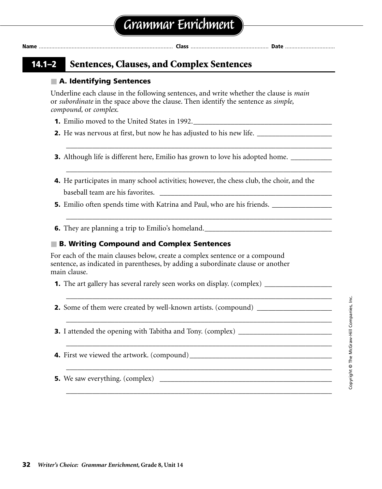| <b>Name</b> |  |
|-------------|--|

### **14.1–2 Sentences, Clauses, and Complex Sentences**

#### ■ **A. Identifying Sentences**

Underline each clause in the following sentences, and write whether the clause is *main* or *subordinate* in the space above the clause. Then identify the sentence as *simple, compound,* or *complex.*

- **1.** Emilio moved to the United States in 1992.
- **2.** He was nervous at first, but now he has adjusted to his new life. \_\_\_\_\_\_\_\_\_\_\_\_\_\_\_\_\_\_\_\_
- **3.** Although life is different here, Emilio has grown to love his adopted home. \_\_\_\_\_\_\_\_\_\_\_\_\_\_\_\_\_\_\_\_\_\_\_\_\_\_\_\_\_\_\_
- **4.** He participates in many school activities; however, the chess club, the choir, and the baseball team are his favorites.

\_\_\_\_\_\_\_\_\_\_\_\_\_\_\_\_\_\_\_\_\_\_\_\_\_\_\_\_\_\_\_\_\_\_\_\_\_\_\_\_\_\_\_\_\_\_\_\_\_\_\_\_\_\_\_\_\_\_\_\_\_\_\_\_\_\_\_\_\_\_\_

\_\_\_\_\_\_\_\_\_\_\_\_\_\_\_\_\_\_\_\_\_\_\_\_\_\_\_\_\_\_\_\_\_\_\_\_\_\_\_\_\_\_\_\_\_\_\_\_\_\_\_\_\_\_\_\_\_\_\_\_\_\_\_\_\_\_\_\_\_\_\_

\_\_\_\_\_\_\_\_\_\_\_\_\_\_\_\_\_\_\_\_\_\_\_\_\_\_\_\_\_\_\_\_\_\_\_\_\_\_\_\_\_\_\_\_\_\_\_\_\_\_\_\_\_\_\_\_\_\_\_\_\_\_\_\_\_\_\_\_\_\_\_

\_\_\_\_\_\_\_\_\_\_\_\_\_\_\_\_\_\_\_\_\_\_\_\_\_\_\_\_\_\_\_\_\_\_\_\_\_\_\_\_\_\_\_\_\_\_\_\_\_\_\_\_\_\_\_\_\_\_\_\_\_\_\_\_\_\_\_\_\_\_\_

\_\_\_\_\_\_\_\_\_\_\_\_\_\_\_\_\_\_\_\_\_\_\_\_\_\_\_\_\_\_\_\_\_\_\_\_\_\_\_\_\_\_\_\_\_\_\_\_\_\_\_\_\_\_\_\_\_\_\_\_\_\_\_\_\_\_\_\_\_\_\_

\_\_\_\_\_\_\_\_\_\_\_\_\_\_\_\_\_\_\_\_\_\_\_\_\_\_\_\_\_\_\_\_\_\_\_\_\_\_\_\_\_\_\_\_\_\_\_\_\_\_\_\_\_\_\_\_\_\_\_\_\_\_\_\_\_\_\_\_\_\_\_

\_\_\_\_\_\_\_\_\_\_\_\_\_\_\_\_\_\_\_\_\_\_\_\_\_\_\_\_\_\_\_\_\_\_\_\_\_\_\_\_\_\_\_\_\_\_\_\_\_\_\_\_\_\_\_\_\_\_\_\_\_\_\_\_\_\_\_\_\_\_\_

\_\_\_\_\_\_\_\_\_\_\_\_\_\_\_\_\_\_\_\_\_\_\_\_\_\_\_\_\_\_\_\_\_\_\_\_\_\_\_\_\_\_\_\_\_\_\_\_\_\_\_\_\_\_\_\_\_\_\_\_\_\_\_\_\_\_\_\_\_\_\_

**5.** Emilio often spends time with Katrina and Paul, who are his friends.

**6.** They are planning a trip to Emilio's homeland.\_\_\_\_\_\_\_\_\_\_\_\_\_\_\_\_\_\_\_\_\_\_\_\_\_\_\_\_\_\_\_\_\_\_

#### ■ **B. Writing Compound and Complex Sentences**

For each of the main clauses below, create a complex sentence or a compound sentence, as indicated in parentheses, by adding a subordinate clause or another main clause.

**1.** The art gallery has several rarely seen works on display. (complex) \_\_\_\_\_\_\_\_\_\_\_\_\_\_\_\_\_\_

**2.** Some of them were created by well-known artists. (compound)

**3.** I attended the opening with Tabitha and Tony. (complex) \_\_\_\_\_\_\_\_\_\_\_\_\_\_\_\_\_\_\_\_\_

**4.** First we viewed the artwork. (compound)\_\_\_\_\_\_\_\_\_\_\_\_\_\_\_\_\_\_\_\_\_\_\_\_\_\_\_\_\_\_\_\_\_\_\_\_\_\_

**5.** We saw everything. (complex) \_\_\_\_\_\_\_\_\_\_\_\_\_\_\_\_\_\_\_\_\_\_\_\_\_\_\_\_\_\_\_\_\_\_\_\_\_\_\_\_\_\_\_\_\_\_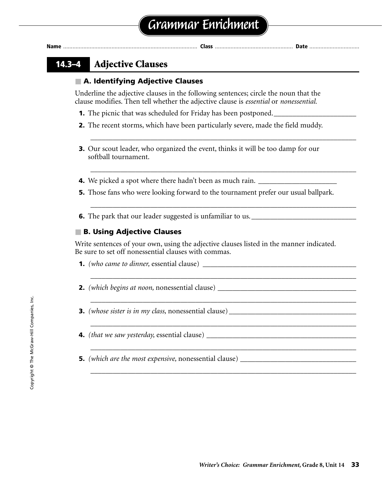### **14.3–4 Adjective Clauses**

### ■ **A. Identifying Adjective Clauses**

Underline the adjective clauses in the following sentences; circle the noun that the clause modifies. Then tell whether the adjective clause is *essential* or *nonessential.*

- **1.** The picnic that was scheduled for Friday has been postponed.
- **2.** The recent storms, which have been particularly severe, made the field muddy.

\_\_\_\_\_\_\_\_\_\_\_\_\_\_\_\_\_\_\_\_\_\_\_\_\_\_\_\_\_\_\_\_\_\_\_\_\_\_\_\_\_\_\_\_\_\_\_\_\_\_\_\_\_\_\_\_\_\_\_\_\_\_\_\_\_\_\_\_\_\_\_

\_\_\_\_\_\_\_\_\_\_\_\_\_\_\_\_\_\_\_\_\_\_\_\_\_\_\_\_\_\_\_\_\_\_\_\_\_\_\_\_\_\_\_\_\_\_\_\_\_\_\_\_\_\_\_\_\_\_\_\_\_\_\_\_\_\_\_\_\_\_\_

\_\_\_\_\_\_\_\_\_\_\_\_\_\_\_\_\_\_\_\_\_\_\_\_\_\_\_\_\_\_\_\_\_\_\_\_\_\_\_\_\_\_\_\_\_\_\_\_\_\_\_\_\_\_\_\_\_\_\_\_\_\_\_\_\_\_\_\_\_\_\_

\_\_\_\_\_\_\_\_\_\_\_\_\_\_\_\_\_\_\_\_\_\_\_\_\_\_\_\_\_\_\_\_\_\_\_\_\_\_\_\_\_\_\_\_\_\_\_\_\_\_\_\_\_\_\_\_\_\_\_\_\_\_\_\_\_\_\_\_\_\_\_

\_\_\_\_\_\_\_\_\_\_\_\_\_\_\_\_\_\_\_\_\_\_\_\_\_\_\_\_\_\_\_\_\_\_\_\_\_\_\_\_\_\_\_\_\_\_\_\_\_\_\_\_\_\_\_\_\_\_\_\_\_\_\_\_\_\_\_\_\_\_\_

\_\_\_\_\_\_\_\_\_\_\_\_\_\_\_\_\_\_\_\_\_\_\_\_\_\_\_\_\_\_\_\_\_\_\_\_\_\_\_\_\_\_\_\_\_\_\_\_\_\_\_\_\_\_\_\_\_\_\_\_\_\_\_\_\_\_\_\_\_\_\_

\_\_\_\_\_\_\_\_\_\_\_\_\_\_\_\_\_\_\_\_\_\_\_\_\_\_\_\_\_\_\_\_\_\_\_\_\_\_\_\_\_\_\_\_\_\_\_\_\_\_\_\_\_\_\_\_\_\_\_\_\_\_\_\_\_\_\_\_\_\_\_

\_\_\_\_\_\_\_\_\_\_\_\_\_\_\_\_\_\_\_\_\_\_\_\_\_\_\_\_\_\_\_\_\_\_\_\_\_\_\_\_\_\_\_\_\_\_\_\_\_\_\_\_\_\_\_\_\_\_\_\_\_\_\_\_\_\_\_\_\_\_\_

- **3.** Our scout leader, who organized the event, thinks it will be too damp for our softball tournament.
- **4.** We picked a spot where there hadn't been as much rain. \_\_\_\_\_\_\_\_\_\_\_\_\_\_\_\_\_\_\_\_\_
- **5.** Those fans who were looking forward to the tournament prefer our usual ballpark.
- **6.** The park that our leader suggested is unfamiliar to us.

### ■ **B. Using Adjective Clauses**

Write sentences of your own, using the adjective clauses listed in the manner indicated. Be sure to set off nonessential clauses with commas.

- **1.** *(who came to dinner, essential clause)*
- **2.** *(which begins at noon,* nonessential clause) \_\_\_\_\_\_\_\_\_\_\_\_\_\_\_\_\_\_\_\_\_\_\_\_\_\_\_\_\_\_\_\_\_\_\_\_\_
- **3.** *(whose sister is in my class,* nonessential clause) \_\_\_\_\_\_\_\_\_\_\_\_\_\_\_\_\_\_\_\_\_\_\_\_\_\_\_\_\_\_\_\_\_\_
- **4.** *(that we saw yesterday,* essential clause) \_\_\_\_\_\_\_\_\_\_\_\_\_\_\_\_\_\_\_\_\_\_\_\_\_\_\_\_\_\_\_\_\_\_\_\_\_\_\_\_
- **5.** *(which are the most expensive, nonessential clause)* \_\_\_\_\_\_\_\_\_\_\_\_\_\_\_\_\_\_\_\_\_\_\_\_\_\_\_\_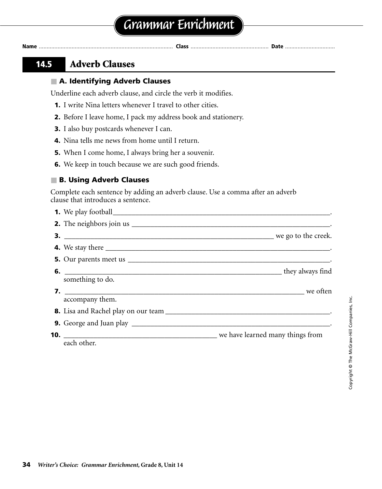**Name** ...................................................................................... **Class** .................................................. **Date** ................................

### **14.5 Adverb Clauses**

### ■ **A. Identifying Adverb Clauses**

Underline each adverb clause, and circle the verb it modifies.

- **1.** I write Nina letters whenever I travel to other cities.
- **2.** Before I leave home, I pack my address book and stationery.
- **3.** I also buy postcards whenever I can.
- **4.** Nina tells me news from home until I return.
- **5.** When I come home, I always bring her a souvenir.
- **6.** We keep in touch because we are such good friends.

#### ■ **B. Using Adverb Clauses**

Complete each sentence by adding an adverb clause. Use a comma after an adverb clause that introduces a sentence.

| something to do. |  |
|------------------|--|
|                  |  |
| accompany them.  |  |
|                  |  |
|                  |  |
|                  |  |
| each other.      |  |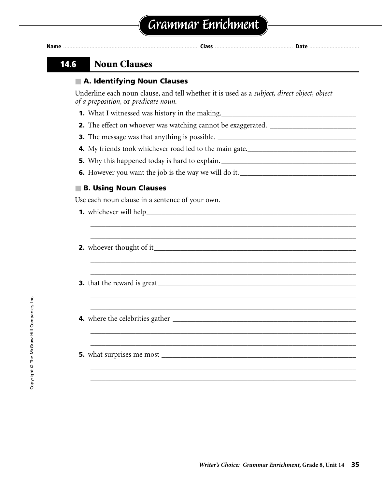

### **14.6 Noun Clauses**

### ■ **A. Identifying Noun Clauses**

Underline each noun clause, and tell whether it is used as a *subject, direct object, object of a preposition,* or *predicate noun.*

\_\_\_\_\_\_\_\_\_\_\_\_\_\_\_\_\_\_\_\_\_\_\_\_\_\_\_\_\_\_\_\_\_\_\_\_\_\_\_\_\_\_\_\_\_\_\_\_\_\_\_\_\_\_\_\_\_\_\_\_\_\_\_\_\_\_\_\_\_\_\_ \_\_\_\_\_\_\_\_\_\_\_\_\_\_\_\_\_\_\_\_\_\_\_\_\_\_\_\_\_\_\_\_\_\_\_\_\_\_\_\_\_\_\_\_\_\_\_\_\_\_\_\_\_\_\_\_\_\_\_\_\_\_\_\_\_\_\_\_\_\_\_

\_\_\_\_\_\_\_\_\_\_\_\_\_\_\_\_\_\_\_\_\_\_\_\_\_\_\_\_\_\_\_\_\_\_\_\_\_\_\_\_\_\_\_\_\_\_\_\_\_\_\_\_\_\_\_\_\_\_\_\_\_\_\_\_\_\_\_\_\_\_\_ \_\_\_\_\_\_\_\_\_\_\_\_\_\_\_\_\_\_\_\_\_\_\_\_\_\_\_\_\_\_\_\_\_\_\_\_\_\_\_\_\_\_\_\_\_\_\_\_\_\_\_\_\_\_\_\_\_\_\_\_\_\_\_\_\_\_\_\_\_\_\_

\_\_\_\_\_\_\_\_\_\_\_\_\_\_\_\_\_\_\_\_\_\_\_\_\_\_\_\_\_\_\_\_\_\_\_\_\_\_\_\_\_\_\_\_\_\_\_\_\_\_\_\_\_\_\_\_\_\_\_\_\_\_\_\_\_\_\_\_\_\_\_ \_\_\_\_\_\_\_\_\_\_\_\_\_\_\_\_\_\_\_\_\_\_\_\_\_\_\_\_\_\_\_\_\_\_\_\_\_\_\_\_\_\_\_\_\_\_\_\_\_\_\_\_\_\_\_\_\_\_\_\_\_\_\_\_\_\_\_\_\_\_\_

\_\_\_\_\_\_\_\_\_\_\_\_\_\_\_\_\_\_\_\_\_\_\_\_\_\_\_\_\_\_\_\_\_\_\_\_\_\_\_\_\_\_\_\_\_\_\_\_\_\_\_\_\_\_\_\_\_\_\_\_\_\_\_\_\_\_\_\_\_\_\_ \_\_\_\_\_\_\_\_\_\_\_\_\_\_\_\_\_\_\_\_\_\_\_\_\_\_\_\_\_\_\_\_\_\_\_\_\_\_\_\_\_\_\_\_\_\_\_\_\_\_\_\_\_\_\_\_\_\_\_\_\_\_\_\_\_\_\_\_\_\_\_

\_\_\_\_\_\_\_\_\_\_\_\_\_\_\_\_\_\_\_\_\_\_\_\_\_\_\_\_\_\_\_\_\_\_\_\_\_\_\_\_\_\_\_\_\_\_\_\_\_\_\_\_\_\_\_\_\_\_\_\_\_\_\_\_\_\_\_\_\_\_\_ \_\_\_\_\_\_\_\_\_\_\_\_\_\_\_\_\_\_\_\_\_\_\_\_\_\_\_\_\_\_\_\_\_\_\_\_\_\_\_\_\_\_\_\_\_\_\_\_\_\_\_\_\_\_\_\_\_\_\_\_\_\_\_\_\_\_\_\_\_\_\_

- **1.** What I witnessed was history in the making.\_\_\_\_\_\_\_\_\_\_\_\_\_\_\_\_\_\_\_\_\_\_\_\_\_\_\_\_\_\_\_\_\_\_
- **2.** The effect on whoever was watching cannot be exaggerated. \_\_\_\_\_\_\_\_\_\_\_\_\_\_\_\_\_\_\_\_\_\_\_
- **3.** The message was that anything is possible. \_\_\_\_\_\_\_\_\_\_\_\_\_\_\_\_\_\_\_\_\_\_\_\_\_\_\_\_\_\_\_\_\_\_\_\_\_
- **4.** My friends took whichever road led to the main gate.\_\_\_\_\_\_\_\_\_\_\_\_\_\_\_\_\_\_\_\_\_\_\_\_\_\_\_\_\_\_
- **5.** Why this happened today is hard to explain. \_\_\_\_\_\_\_\_\_\_\_\_\_\_\_\_\_\_\_\_\_\_\_\_\_\_\_\_\_\_\_\_\_\_\_\_
- **6.** However you want the job is the way we will do it. \_\_\_\_\_\_\_\_\_\_\_\_\_\_\_\_\_\_\_\_\_\_\_\_\_\_\_\_\_\_\_

### ■ **B. Using Noun Clauses**

Use each noun clause in a sentence of your own.

- **1.** whichever will help\_\_\_\_\_\_\_\_\_\_\_\_\_\_\_\_\_\_\_\_\_\_\_\_\_\_\_\_\_\_\_\_\_\_\_\_\_\_\_\_\_\_\_\_\_\_\_\_\_\_\_\_\_\_\_\_
- **2.** whoever thought of it\_\_\_\_\_\_\_\_\_\_\_\_\_\_\_\_\_\_\_\_\_\_\_\_\_\_\_\_\_\_\_\_\_\_\_\_\_\_\_\_\_\_\_\_\_\_\_\_\_\_\_\_\_\_
- **3.** that the reward is great\_\_\_\_\_\_\_\_\_\_\_\_\_\_\_\_\_\_\_\_\_\_\_\_\_\_\_\_\_\_\_\_\_\_\_\_\_\_\_\_\_\_\_\_\_\_\_\_\_\_\_\_\_
- **4.** where the celebrities gather \_\_\_\_\_\_\_\_\_\_\_\_\_\_\_\_\_\_\_\_\_\_\_\_\_\_\_\_\_\_\_\_\_\_\_\_\_\_\_\_\_\_\_\_\_\_\_\_\_
- **5.** what surprises me most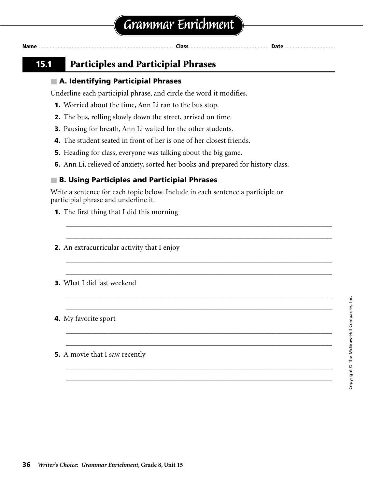### **15.1 Participles and Participial Phrases**

### ■ **A. Identifying Participial Phrases**

Underline each participial phrase, and circle the word it modifies.

- **1.** Worried about the time, Ann Li ran to the bus stop.
- **2.** The bus, rolling slowly down the street, arrived on time.
- **3.** Pausing for breath, Ann Li waited for the other students.
- **4.** The student seated in front of her is one of her closest friends.
- **5.** Heading for class, everyone was talking about the big game.
- **6.** Ann Li, relieved of anxiety, sorted her books and prepared for history class.

### ■ **B. Using Participles and Participial Phrases**

Write a sentence for each topic below. Include in each sentence a participle or participial phrase and underline it.

\_\_\_\_\_\_\_\_\_\_\_\_\_\_\_\_\_\_\_\_\_\_\_\_\_\_\_\_\_\_\_\_\_\_\_\_\_\_\_\_\_\_\_\_\_\_\_\_\_\_\_\_\_\_\_\_\_\_\_\_\_\_\_\_\_\_\_\_\_\_\_ \_\_\_\_\_\_\_\_\_\_\_\_\_\_\_\_\_\_\_\_\_\_\_\_\_\_\_\_\_\_\_\_\_\_\_\_\_\_\_\_\_\_\_\_\_\_\_\_\_\_\_\_\_\_\_\_\_\_\_\_\_\_\_\_\_\_\_\_\_\_\_

\_\_\_\_\_\_\_\_\_\_\_\_\_\_\_\_\_\_\_\_\_\_\_\_\_\_\_\_\_\_\_\_\_\_\_\_\_\_\_\_\_\_\_\_\_\_\_\_\_\_\_\_\_\_\_\_\_\_\_\_\_\_\_\_\_\_\_\_\_\_\_ \_\_\_\_\_\_\_\_\_\_\_\_\_\_\_\_\_\_\_\_\_\_\_\_\_\_\_\_\_\_\_\_\_\_\_\_\_\_\_\_\_\_\_\_\_\_\_\_\_\_\_\_\_\_\_\_\_\_\_\_\_\_\_\_\_\_\_\_\_\_\_

\_\_\_\_\_\_\_\_\_\_\_\_\_\_\_\_\_\_\_\_\_\_\_\_\_\_\_\_\_\_\_\_\_\_\_\_\_\_\_\_\_\_\_\_\_\_\_\_\_\_\_\_\_\_\_\_\_\_\_\_\_\_\_\_\_\_\_\_\_\_\_ \_\_\_\_\_\_\_\_\_\_\_\_\_\_\_\_\_\_\_\_\_\_\_\_\_\_\_\_\_\_\_\_\_\_\_\_\_\_\_\_\_\_\_\_\_\_\_\_\_\_\_\_\_\_\_\_\_\_\_\_\_\_\_\_\_\_\_\_\_\_\_

\_\_\_\_\_\_\_\_\_\_\_\_\_\_\_\_\_\_\_\_\_\_\_\_\_\_\_\_\_\_\_\_\_\_\_\_\_\_\_\_\_\_\_\_\_\_\_\_\_\_\_\_\_\_\_\_\_\_\_\_\_\_\_\_\_\_\_\_\_\_\_ \_\_\_\_\_\_\_\_\_\_\_\_\_\_\_\_\_\_\_\_\_\_\_\_\_\_\_\_\_\_\_\_\_\_\_\_\_\_\_\_\_\_\_\_\_\_\_\_\_\_\_\_\_\_\_\_\_\_\_\_\_\_\_\_\_\_\_\_\_\_\_

\_\_\_\_\_\_\_\_\_\_\_\_\_\_\_\_\_\_\_\_\_\_\_\_\_\_\_\_\_\_\_\_\_\_\_\_\_\_\_\_\_\_\_\_\_\_\_\_\_\_\_\_\_\_\_\_\_\_\_\_\_\_\_\_\_\_\_\_\_\_\_ \_\_\_\_\_\_\_\_\_\_\_\_\_\_\_\_\_\_\_\_\_\_\_\_\_\_\_\_\_\_\_\_\_\_\_\_\_\_\_\_\_\_\_\_\_\_\_\_\_\_\_\_\_\_\_\_\_\_\_\_\_\_\_\_\_\_\_\_\_\_\_

- **1.** The first thing that I did this morning
- **2.** An extracurricular activity that I enjoy
- **3.** What I did last weekend

#### **4.** My favorite sport

**5.** A movie that I saw recently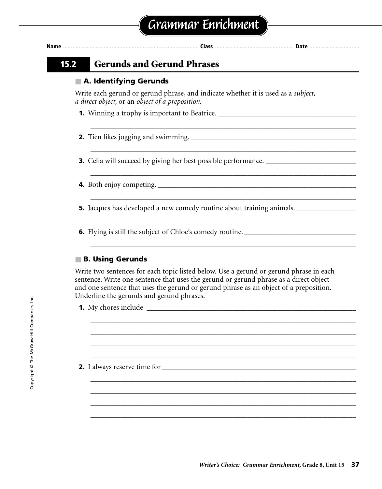**Name** ...................................................................................... **Class** .................................................. **Date** ................................

### **15.2 Gerunds and Gerund Phrases**

### ■ **A. Identifying Gerunds**

Write each gerund or gerund phrase, and indicate whether it is used as a *subject, a direct object,* or an *object of a preposition.*

\_\_\_\_\_\_\_\_\_\_\_\_\_\_\_\_\_\_\_\_\_\_\_\_\_\_\_\_\_\_\_\_\_\_\_\_\_\_\_\_\_\_\_\_\_\_\_\_\_\_\_\_\_\_\_\_\_\_\_\_\_\_\_\_\_\_\_\_\_\_\_

\_\_\_\_\_\_\_\_\_\_\_\_\_\_\_\_\_\_\_\_\_\_\_\_\_\_\_\_\_\_\_\_\_\_\_\_\_\_\_\_\_\_\_\_\_\_\_\_\_\_\_\_\_\_\_\_\_\_\_\_\_\_\_\_\_\_\_\_\_\_\_

\_\_\_\_\_\_\_\_\_\_\_\_\_\_\_\_\_\_\_\_\_\_\_\_\_\_\_\_\_\_\_\_\_\_\_\_\_\_\_\_\_\_\_\_\_\_\_\_\_\_\_\_\_\_\_\_\_\_\_\_\_\_\_\_\_\_\_\_\_\_\_

\_\_\_\_\_\_\_\_\_\_\_\_\_\_\_\_\_\_\_\_\_\_\_\_\_\_\_\_\_\_\_\_\_\_\_\_\_\_\_\_\_\_\_\_\_\_\_\_\_\_\_\_\_\_\_\_\_\_\_\_\_\_\_\_\_\_\_\_\_\_\_

\_\_\_\_\_\_\_\_\_\_\_\_\_\_\_\_\_\_\_\_\_\_\_\_\_\_\_\_\_\_\_\_\_\_\_\_\_\_\_\_\_\_\_\_\_\_\_\_\_\_\_\_\_\_\_\_\_\_\_\_\_\_\_\_\_\_\_\_\_\_\_

\_\_\_\_\_\_\_\_\_\_\_\_\_\_\_\_\_\_\_\_\_\_\_\_\_\_\_\_\_\_\_\_\_\_\_\_\_\_\_\_\_\_\_\_\_\_\_\_\_\_\_\_\_\_\_\_\_\_\_\_\_\_\_\_\_\_\_\_\_\_\_

\_\_\_\_\_\_\_\_\_\_\_\_\_\_\_\_\_\_\_\_\_\_\_\_\_\_\_\_\_\_\_\_\_\_\_\_\_\_\_\_\_\_\_\_\_\_\_\_\_\_\_\_\_\_\_\_\_\_\_\_\_\_\_\_\_\_\_\_\_\_\_ \_\_\_\_\_\_\_\_\_\_\_\_\_\_\_\_\_\_\_\_\_\_\_\_\_\_\_\_\_\_\_\_\_\_\_\_\_\_\_\_\_\_\_\_\_\_\_\_\_\_\_\_\_\_\_\_\_\_\_\_\_\_\_\_\_\_\_\_\_\_\_ \_\_\_\_\_\_\_\_\_\_\_\_\_\_\_\_\_\_\_\_\_\_\_\_\_\_\_\_\_\_\_\_\_\_\_\_\_\_\_\_\_\_\_\_\_\_\_\_\_\_\_\_\_\_\_\_\_\_\_\_\_\_\_\_\_\_\_\_\_\_\_

\_\_\_\_\_\_\_\_\_\_\_\_\_\_\_\_\_\_\_\_\_\_\_\_\_\_\_\_\_\_\_\_\_\_\_\_\_\_\_\_\_\_\_\_\_\_\_\_\_\_\_\_\_\_\_\_\_\_\_\_\_\_\_\_\_\_\_\_\_\_\_ \_\_\_\_\_\_\_\_\_\_\_\_\_\_\_\_\_\_\_\_\_\_\_\_\_\_\_\_\_\_\_\_\_\_\_\_\_\_\_\_\_\_\_\_\_\_\_\_\_\_\_\_\_\_\_\_\_\_\_\_\_\_\_\_\_\_\_\_\_\_\_ \_\_\_\_\_\_\_\_\_\_\_\_\_\_\_\_\_\_\_\_\_\_\_\_\_\_\_\_\_\_\_\_\_\_\_\_\_\_\_\_\_\_\_\_\_\_\_\_\_\_\_\_\_\_\_\_\_\_\_\_\_\_\_\_\_\_\_\_\_\_\_ \_\_\_\_\_\_\_\_\_\_\_\_\_\_\_\_\_\_\_\_\_\_\_\_\_\_\_\_\_\_\_\_\_\_\_\_\_\_\_\_\_\_\_\_\_\_\_\_\_\_\_\_\_\_\_\_\_\_\_\_\_\_\_\_\_\_\_\_\_\_\_

- **1.** Winning a trophy is important to Beatrice.
- **2.** Tien likes jogging and swimming. \_\_\_\_\_\_\_\_\_\_\_\_\_\_\_\_\_\_\_\_\_\_\_\_\_\_\_\_\_\_\_\_\_\_\_\_\_\_\_\_\_\_\_\_
- **3.** Celia will succeed by giving her best possible performance. \_\_\_\_\_\_\_\_\_\_\_\_\_\_\_\_\_
- **4.** Both enjoy competing. \_\_\_\_\_\_\_\_\_\_\_\_\_\_\_\_\_\_\_\_\_\_\_\_\_\_\_\_\_\_\_\_\_\_\_\_\_\_\_\_\_\_\_\_\_\_\_\_\_\_\_\_\_
- **5.** Jacques has developed a new comedy routine about training animals. \_\_\_\_\_\_\_\_\_\_\_\_\_\_\_
- **6.** Flying is still the subject of Chloe's comedy routine.

#### ■ **B. Using Gerunds**

Write two sentences for each topic listed below. Use a gerund or gerund phrase in each sentence. Write one sentence that uses the gerund or gerund phrase as a direct object and one sentence that uses the gerund or gerund phrase as an object of a preposition. Underline the gerunds and gerund phrases.

- **1.** My chores include \_\_\_\_\_\_\_\_\_\_\_\_\_\_\_\_\_\_\_\_\_\_\_\_\_\_\_\_\_\_\_\_\_\_\_\_\_\_\_\_\_\_\_\_\_\_\_\_\_\_\_\_\_\_\_\_
- \_\_\_\_\_\_\_\_\_\_\_\_\_\_\_\_\_\_\_\_\_\_\_\_\_\_\_\_\_\_\_\_\_\_\_\_\_\_\_\_\_\_\_\_\_\_\_\_\_\_\_\_\_\_\_\_\_\_\_\_\_\_\_\_\_\_\_\_\_\_\_ **2.** I always reserve time for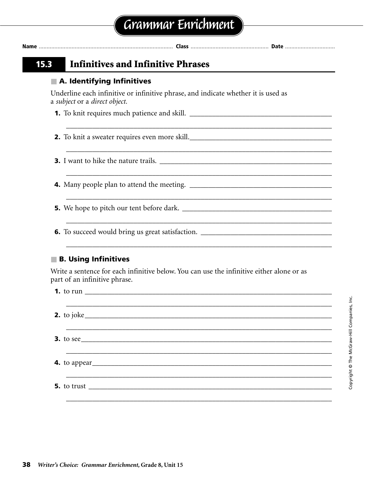| A. Identifying Infinitives                                                                                                                                                                                                     |
|--------------------------------------------------------------------------------------------------------------------------------------------------------------------------------------------------------------------------------|
| Underline each infinitive or infinitive phrase, and indicate whether it is used as<br>a subject or a direct object.                                                                                                            |
|                                                                                                                                                                                                                                |
| and the control of the control of the control of the control of the control of the control of the control of the<br>2. To knit a sweater requires even more skill.                                                             |
|                                                                                                                                                                                                                                |
|                                                                                                                                                                                                                                |
| <u> 1989 - Johann Stoff, amerikansk politiker (d. 1989)</u>                                                                                                                                                                    |
| 6. To succeed would bring us great satisfaction. ________________________________                                                                                                                                              |
| <b>B. Using Infinitives</b>                                                                                                                                                                                                    |
| Write a sentence for each infinitive below. You can use the infinitive either alone or as<br>part of an infinitive phrase.                                                                                                     |
| <b>1.</b> to run $\qquad \qquad$                                                                                                                                                                                               |
| <b>2.</b> to joke                                                                                                                                                                                                              |
|                                                                                                                                                                                                                                |
|                                                                                                                                                                                                                                |
| 5. to trust the set of the set of the set of the set of the set of the set of the set of the set of the set of the set of the set of the set of the set of the set of the set of the set of the set of the set of the set of t |
|                                                                                                                                                                                                                                |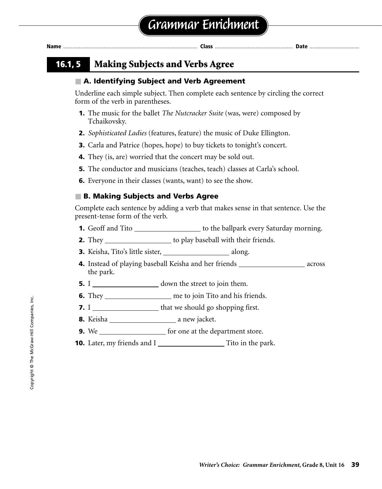**Name** ...................................................................................... **Class** .................................................. **Date** ................................

### **16.1, 5 Making Subjects and Verbs Agree**

### ■ **A. Identifying Subject and Verb Agreement**

Underline each simple subject. Then complete each sentence by circling the correct form of the verb in parentheses.

- **1.** The music for the ballet *The Nutcracker Suite* (was, were) composed by Tchaikovsky.
- **2.** *Sophisticated Ladies* (features, feature) the music of Duke Ellington.
- **3.** Carla and Patrice (hopes, hope) to buy tickets to tonight's concert.
- **4.** They (is, are) worried that the concert may be sold out.
- **5.** The conductor and musicians (teaches, teach) classes at Carla's school.
- **6.** Everyone in their classes (wants, want) to see the show.

### ■ **B. Making Subjects and Verbs Agree**

Complete each sentence by adding a verb that makes sense in that sentence. Use the present-tense form of the verb.

- **1.** Geoff and Tito \_\_\_\_\_\_\_\_\_\_\_\_\_\_\_\_\_\_\_\_ to the ballpark every Saturday morning.
- **2.** They \_\_\_\_\_\_\_\_\_\_\_\_\_\_\_\_\_\_\_\_ to play baseball with their friends.
- **3.** Keisha, Tito's little sister, along.
- **4.** Instead of playing baseball Keisha and her friends across the park.
- **5.** I down the street to join them.
- **6.** They \_\_\_\_\_\_\_\_\_\_\_\_\_\_\_\_\_\_\_\_\_\_ me to join Tito and his friends.
- **7.** I that we should go shopping first.
- **8.** Keisha a new jacket.
- **9.** We **for one at the department store.**
- **10.** Later, my friends and I Tito in the park.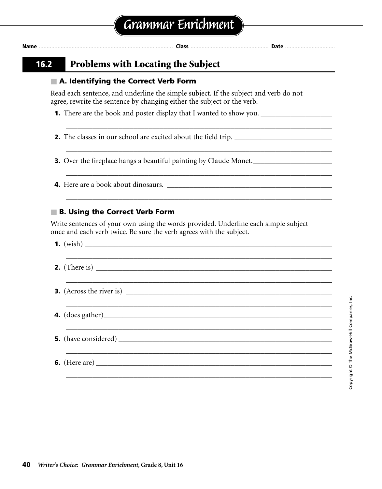| 16.2 | <b>Problems with Locating the Subject</b>                                                                                                                       |
|------|-----------------------------------------------------------------------------------------------------------------------------------------------------------------|
|      | A. Identifying the Correct Verb Form                                                                                                                            |
|      | Read each sentence, and underline the simple subject. If the subject and verb do not<br>agree, rewrite the sentence by changing either the subject or the verb. |
|      |                                                                                                                                                                 |
|      |                                                                                                                                                                 |
|      | 3. Over the fireplace hangs a beautiful painting by Claude Monet.                                                                                               |
|      |                                                                                                                                                                 |
|      | <b>B. Using the Correct Verb Form</b>                                                                                                                           |
|      | Write sentences of your own using the words provided. Underline each simple subject<br>once and each verb twice. Be sure the verb agrees with the subject.      |
|      |                                                                                                                                                                 |
|      |                                                                                                                                                                 |
|      |                                                                                                                                                                 |
|      |                                                                                                                                                                 |
|      | <b>5.</b> (have considered)                                                                                                                                     |

\_\_\_\_\_\_\_\_\_\_\_\_\_\_\_\_\_\_\_\_\_\_\_\_\_\_\_\_\_\_\_\_\_\_\_\_\_\_\_\_\_\_\_\_\_\_\_\_\_\_\_\_\_\_\_\_\_\_\_\_\_\_\_\_\_\_\_\_\_\_\_

**6.** (Here are) \_\_\_\_\_\_\_\_\_\_\_\_\_\_\_\_\_\_\_\_\_\_\_\_\_\_\_\_\_\_\_\_\_\_\_\_\_\_\_\_\_\_\_\_\_\_\_\_\_\_\_\_\_\_\_\_\_\_\_\_\_\_\_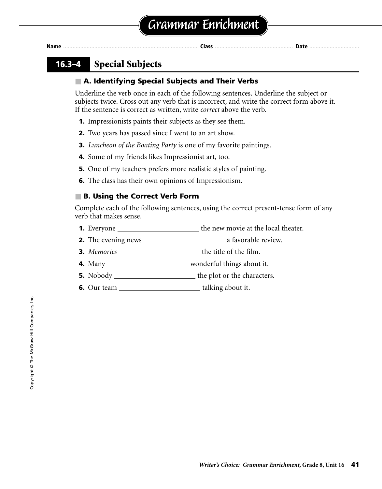### **16.3–4 Special Subjects**

### ■ **A. Identifying Special Subjects and Their Verbs**

Underline the verb once in each of the following sentences. Underline the subject or subjects twice. Cross out any verb that is incorrect, and write the correct form above it. If the sentence is correct as written, write *correct* above the verb.

- **1.** Impressionists paints their subjects as they see them.
- **2.** Two years has passed since I went to an art show.
- **3.** *Luncheon of the Boating Party* is one of my favorite paintings.
- **4.** Some of my friends likes Impressionist art, too.
- **5.** One of my teachers prefers more realistic styles of painting.
- **6.** The class has their own opinions of Impressionism.

### ■ **B. Using the Correct Verb Form**

Complete each of the following sentences, using the correct present-tense form of any verb that makes sense.

- **1.** Everyone the new movie at the local theater.
- **2.** The evening news a favorable review.
- **3.** *Memories* the title of the film.
- **4.** Many wonderful things about it.
- **5.** Nobody the plot or the characters.
- **6.** Our team talking about it.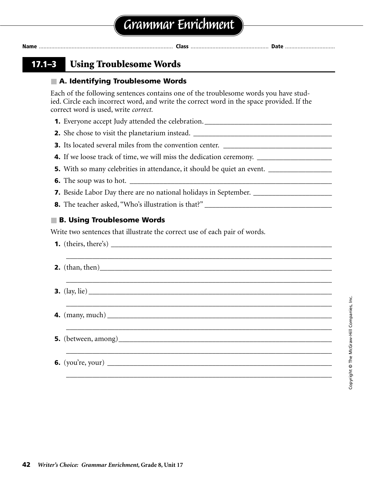**17.1–3 Using Troublesome Words**

### ■ **A. Identifying Troublesome Words**

Each of the following sentences contains one of the troublesome words you have studied. Circle each incorrect word, and write the correct word in the space provided. If the correct word is used, write *correct.*

**1.** Everyone accept Judy attended the celebration. \_\_\_\_\_\_\_\_\_\_\_\_\_\_\_\_\_\_\_\_\_\_\_\_\_\_\_\_\_

**2.** She chose to visit the planetarium instead. \_\_\_\_\_\_\_\_\_\_\_\_\_\_\_\_\_\_\_\_\_\_\_\_\_\_\_\_\_\_\_\_\_\_\_\_\_

**3.** Its located several miles from the convention center.

**4.** If we loose track of time, we will miss the dedication ceremony. \_\_\_\_\_\_\_\_\_\_\_\_

**5.** With so many celebrities in attendance, it should be quiet an event. \_\_\_\_\_\_\_\_\_\_\_\_\_

**6.** The soup was to hot.  $\Box$ 

**7.** Beside Labor Day there are no national holidays in September. \_\_\_\_\_\_\_\_\_\_\_\_\_\_\_\_\_\_\_

**8.** The teacher asked, "Who's illustration is that?"

### ■ **B. Using Troublesome Words**

Write two sentences that illustrate the correct use of each pair of words.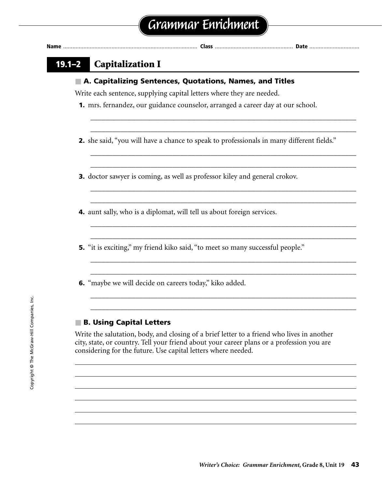### **19.1–2 Capitalization I**

#### ■ A. Capitalizing Sentences, Quotations, Names, and Titles

Write each sentence, supplying capital letters where they are needed.

- **1.** mrs. fernandez, our guidance counselor, arranged a career day at our school.
- **2.** she said, "you will have a chance to speak to professionals in many different fields."

\_\_\_\_\_\_\_\_\_\_\_\_\_\_\_\_\_\_\_\_\_\_\_\_\_\_\_\_\_\_\_\_\_\_\_\_\_\_\_\_\_\_\_\_\_\_\_\_\_\_\_\_\_\_\_\_\_\_\_\_\_\_\_\_\_\_\_\_\_\_\_ \_\_\_\_\_\_\_\_\_\_\_\_\_\_\_\_\_\_\_\_\_\_\_\_\_\_\_\_\_\_\_\_\_\_\_\_\_\_\_\_\_\_\_\_\_\_\_\_\_\_\_\_\_\_\_\_\_\_\_\_\_\_\_\_\_\_\_\_\_\_\_

\_\_\_\_\_\_\_\_\_\_\_\_\_\_\_\_\_\_\_\_\_\_\_\_\_\_\_\_\_\_\_\_\_\_\_\_\_\_\_\_\_\_\_\_\_\_\_\_\_\_\_\_\_\_\_\_\_\_\_\_\_\_\_\_\_\_\_\_\_\_\_ \_\_\_\_\_\_\_\_\_\_\_\_\_\_\_\_\_\_\_\_\_\_\_\_\_\_\_\_\_\_\_\_\_\_\_\_\_\_\_\_\_\_\_\_\_\_\_\_\_\_\_\_\_\_\_\_\_\_\_\_\_\_\_\_\_\_\_\_\_\_\_

\_\_\_\_\_\_\_\_\_\_\_\_\_\_\_\_\_\_\_\_\_\_\_\_\_\_\_\_\_\_\_\_\_\_\_\_\_\_\_\_\_\_\_\_\_\_\_\_\_\_\_\_\_\_\_\_\_\_\_\_\_\_\_\_\_\_\_\_\_\_\_ \_\_\_\_\_\_\_\_\_\_\_\_\_\_\_\_\_\_\_\_\_\_\_\_\_\_\_\_\_\_\_\_\_\_\_\_\_\_\_\_\_\_\_\_\_\_\_\_\_\_\_\_\_\_\_\_\_\_\_\_\_\_\_\_\_\_\_\_\_\_\_

\_\_\_\_\_\_\_\_\_\_\_\_\_\_\_\_\_\_\_\_\_\_\_\_\_\_\_\_\_\_\_\_\_\_\_\_\_\_\_\_\_\_\_\_\_\_\_\_\_\_\_\_\_\_\_\_\_\_\_\_\_\_\_\_\_\_\_\_\_\_\_ \_\_\_\_\_\_\_\_\_\_\_\_\_\_\_\_\_\_\_\_\_\_\_\_\_\_\_\_\_\_\_\_\_\_\_\_\_\_\_\_\_\_\_\_\_\_\_\_\_\_\_\_\_\_\_\_\_\_\_\_\_\_\_\_\_\_\_\_\_\_\_

\_\_\_\_\_\_\_\_\_\_\_\_\_\_\_\_\_\_\_\_\_\_\_\_\_\_\_\_\_\_\_\_\_\_\_\_\_\_\_\_\_\_\_\_\_\_\_\_\_\_\_\_\_\_\_\_\_\_\_\_\_\_\_\_\_\_\_\_\_\_\_ \_\_\_\_\_\_\_\_\_\_\_\_\_\_\_\_\_\_\_\_\_\_\_\_\_\_\_\_\_\_\_\_\_\_\_\_\_\_\_\_\_\_\_\_\_\_\_\_\_\_\_\_\_\_\_\_\_\_\_\_\_\_\_\_\_\_\_\_\_\_\_

\_\_\_\_\_\_\_\_\_\_\_\_\_\_\_\_\_\_\_\_\_\_\_\_\_\_\_\_\_\_\_\_\_\_\_\_\_\_\_\_\_\_\_\_\_\_\_\_\_\_\_\_\_\_\_\_\_\_\_\_\_\_\_\_\_\_\_\_\_\_\_ \_\_\_\_\_\_\_\_\_\_\_\_\_\_\_\_\_\_\_\_\_\_\_\_\_\_\_\_\_\_\_\_\_\_\_\_\_\_\_\_\_\_\_\_\_\_\_\_\_\_\_\_\_\_\_\_\_\_\_\_\_\_\_\_\_\_\_\_\_\_\_

- **3.** doctor sawyer is coming, as well as professor kiley and general crokov.
- **4.** aunt sally, who is a diplomat, will tell us about foreign services.
- **5.** "it is exciting," my friend kiko said, "to meet so many successful people."
- **6.** "maybe we will decide on careers today," kiko added.

#### ■ **B. Using Capital Letters**

Write the salutation, body, and closing of a brief letter to a friend who lives in another city, state, or country. Tell your friend about your career plans or a profession you are considering for the future. Use capital letters where needed.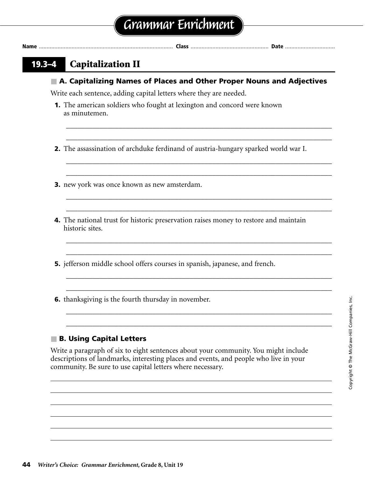**Name** ...................................................................................... **Class** .................................................. **Date** ................................

### **19.3–4 Capitalization II**

#### ■ A. Capitalizing Names of Places and Other Proper Nouns and Adjectives

\_\_\_\_\_\_\_\_\_\_\_\_\_\_\_\_\_\_\_\_\_\_\_\_\_\_\_\_\_\_\_\_\_\_\_\_\_\_\_\_\_\_\_\_\_\_\_\_\_\_\_\_\_\_\_\_\_\_\_\_\_\_\_\_\_\_\_\_\_\_\_ \_\_\_\_\_\_\_\_\_\_\_\_\_\_\_\_\_\_\_\_\_\_\_\_\_\_\_\_\_\_\_\_\_\_\_\_\_\_\_\_\_\_\_\_\_\_\_\_\_\_\_\_\_\_\_\_\_\_\_\_\_\_\_\_\_\_\_\_\_\_\_

\_\_\_\_\_\_\_\_\_\_\_\_\_\_\_\_\_\_\_\_\_\_\_\_\_\_\_\_\_\_\_\_\_\_\_\_\_\_\_\_\_\_\_\_\_\_\_\_\_\_\_\_\_\_\_\_\_\_\_\_\_\_\_\_\_\_\_\_\_\_\_ \_\_\_\_\_\_\_\_\_\_\_\_\_\_\_\_\_\_\_\_\_\_\_\_\_\_\_\_\_\_\_\_\_\_\_\_\_\_\_\_\_\_\_\_\_\_\_\_\_\_\_\_\_\_\_\_\_\_\_\_\_\_\_\_\_\_\_\_\_\_\_

\_\_\_\_\_\_\_\_\_\_\_\_\_\_\_\_\_\_\_\_\_\_\_\_\_\_\_\_\_\_\_\_\_\_\_\_\_\_\_\_\_\_\_\_\_\_\_\_\_\_\_\_\_\_\_\_\_\_\_\_\_\_\_\_\_\_\_\_\_\_\_ \_\_\_\_\_\_\_\_\_\_\_\_\_\_\_\_\_\_\_\_\_\_\_\_\_\_\_\_\_\_\_\_\_\_\_\_\_\_\_\_\_\_\_\_\_\_\_\_\_\_\_\_\_\_\_\_\_\_\_\_\_\_\_\_\_\_\_\_\_\_\_

\_\_\_\_\_\_\_\_\_\_\_\_\_\_\_\_\_\_\_\_\_\_\_\_\_\_\_\_\_\_\_\_\_\_\_\_\_\_\_\_\_\_\_\_\_\_\_\_\_\_\_\_\_\_\_\_\_\_\_\_\_\_\_\_\_\_\_\_\_\_\_ \_\_\_\_\_\_\_\_\_\_\_\_\_\_\_\_\_\_\_\_\_\_\_\_\_\_\_\_\_\_\_\_\_\_\_\_\_\_\_\_\_\_\_\_\_\_\_\_\_\_\_\_\_\_\_\_\_\_\_\_\_\_\_\_\_\_\_\_\_\_\_

\_\_\_\_\_\_\_\_\_\_\_\_\_\_\_\_\_\_\_\_\_\_\_\_\_\_\_\_\_\_\_\_\_\_\_\_\_\_\_\_\_\_\_\_\_\_\_\_\_\_\_\_\_\_\_\_\_\_\_\_\_\_\_\_\_\_\_\_\_\_\_ \_\_\_\_\_\_\_\_\_\_\_\_\_\_\_\_\_\_\_\_\_\_\_\_\_\_\_\_\_\_\_\_\_\_\_\_\_\_\_\_\_\_\_\_\_\_\_\_\_\_\_\_\_\_\_\_\_\_\_\_\_\_\_\_\_\_\_\_\_\_\_

\_\_\_\_\_\_\_\_\_\_\_\_\_\_\_\_\_\_\_\_\_\_\_\_\_\_\_\_\_\_\_\_\_\_\_\_\_\_\_\_\_\_\_\_\_\_\_\_\_\_\_\_\_\_\_\_\_\_\_\_\_\_\_\_\_\_\_\_\_\_\_ \_\_\_\_\_\_\_\_\_\_\_\_\_\_\_\_\_\_\_\_\_\_\_\_\_\_\_\_\_\_\_\_\_\_\_\_\_\_\_\_\_\_\_\_\_\_\_\_\_\_\_\_\_\_\_\_\_\_\_\_\_\_\_\_\_\_\_\_\_\_\_

Write each sentence, adding capital letters where they are needed.

**1.** The american soldiers who fought at lexington and concord were known as minutemen.

**2.** The assassination of archduke ferdinand of austria-hungary sparked world war I.

- **3.** new york was once known as new amsterdam.
- **4.** The national trust for historic preservation raises money to restore and maintain historic sites.
- **5.** jefferson middle school offers courses in spanish, japanese, and french.
- **6.** thanksgiving is the fourth thursday in november.

### ■ **B. Using Capital Letters**

Write a paragraph of six to eight sentences about your community. You might include descriptions of landmarks, interesting places and events, and people who live in your community. Be sure to use capital letters where necessary.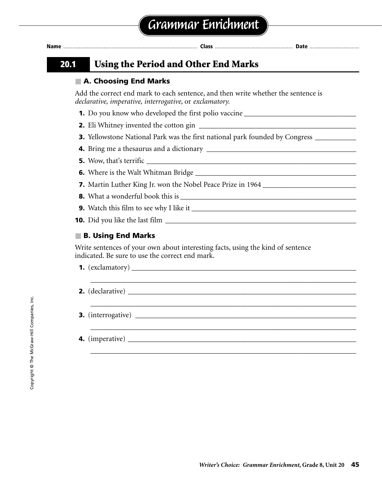| Nam |  |  |
|-----|--|--|
|     |  |  |

### **20.1 Using the Period and Other End Marks**

### ■ **A. Choosing End Marks**

Add the correct end mark to each sentence, and then write whether the sentence is *declarative, imperative, interrogative,* or *exclamatory.*

- **1.** Do you know who developed the first polio vaccine
- **2.** Eli Whitney invented the cotton gin \_\_\_\_\_\_\_\_\_\_\_\_\_\_\_\_\_\_\_\_\_\_\_\_\_\_\_\_\_\_\_\_\_\_\_\_\_\_\_\_\_\_
- **3.** Yellowstone National Park was the first national park founded by Congress \_\_\_\_\_\_\_\_\_
- **4.** Bring me a thesaurus and a dictionary \_\_\_\_\_\_\_\_\_\_\_\_\_\_\_\_\_\_\_\_\_\_\_\_\_\_\_\_\_\_\_\_\_\_\_\_\_\_\_\_
- **5.** Wow, that's terrific \_\_\_\_\_\_\_\_\_\_\_\_\_\_\_\_\_\_\_\_\_\_\_\_\_\_\_\_\_\_\_\_\_\_\_\_\_\_\_\_\_\_\_\_\_\_\_\_\_\_\_\_\_\_\_\_
- **6.** Where is the Walt Whitman Bridge \_\_\_\_\_\_\_\_\_\_\_\_\_\_\_\_\_\_\_\_\_\_\_\_\_\_\_\_\_\_\_\_\_\_\_\_\_\_\_\_\_\_\_
- **7.** Martin Luther King Jr. won the Nobel Peace Prize in 1964 \_\_\_\_\_\_\_\_\_\_\_\_\_\_\_\_\_\_\_
- **8.** What a wonderful book this is \_\_\_\_\_\_\_\_\_\_\_\_\_\_\_\_\_\_\_\_\_\_\_\_\_\_\_\_\_\_\_\_\_\_\_\_\_\_\_\_\_\_\_\_\_\_\_
- **9.** Watch this film to see why I like it \_\_\_\_\_\_\_\_\_\_\_\_\_\_\_\_\_\_\_\_\_\_\_\_\_\_\_\_\_\_\_\_\_\_\_\_\_\_\_\_\_\_\_\_
- **10.** Did you like the last film

### ■ **B. Using End Marks**

Write sentences of your own about interesting facts, using the kind of sentence indicated. Be sure to use the correct end mark.

**1.**  $(exclamatory)$ \_\_\_\_\_\_\_\_\_\_\_\_\_\_\_\_\_\_\_\_\_\_\_\_\_\_\_\_\_\_\_\_\_\_\_\_\_\_\_\_\_\_\_\_\_\_\_\_\_\_\_\_\_\_\_\_\_\_\_\_\_\_\_\_\_\_\_\_\_\_\_

\_\_\_\_\_\_\_\_\_\_\_\_\_\_\_\_\_\_\_\_\_\_\_\_\_\_\_\_\_\_\_\_\_\_\_\_\_\_\_\_\_\_\_\_\_\_\_\_\_\_\_\_\_\_\_\_\_\_\_\_\_\_\_\_\_\_\_\_\_\_\_

\_\_\_\_\_\_\_\_\_\_\_\_\_\_\_\_\_\_\_\_\_\_\_\_\_\_\_\_\_\_\_\_\_\_\_\_\_\_\_\_\_\_\_\_\_\_\_\_\_\_\_\_\_\_\_\_\_\_\_\_\_\_\_\_\_\_\_\_\_\_\_

\_\_\_\_\_\_\_\_\_\_\_\_\_\_\_\_\_\_\_\_\_\_\_\_\_\_\_\_\_\_\_\_\_\_\_\_\_\_\_\_\_\_\_\_\_\_\_\_\_\_\_\_\_\_\_\_\_\_\_\_\_\_\_\_\_\_\_\_\_\_\_

- **2.** (declarative) \_\_\_\_\_\_\_\_\_\_\_\_\_\_\_\_\_\_\_\_\_\_\_\_\_\_\_\_\_\_\_\_\_\_\_\_\_\_\_\_\_\_\_\_\_\_\_\_\_\_\_\_\_\_\_\_\_\_\_\_\_
- **3.** (interrogative) \_\_\_\_\_\_\_\_\_\_\_\_\_\_\_\_\_\_\_\_\_\_\_\_\_\_\_\_\_\_\_\_\_\_\_\_\_\_\_\_\_\_\_\_\_\_\_\_\_\_\_\_\_\_\_\_\_\_\_
- **4.** (imperative) \_\_\_\_\_\_\_\_\_\_\_\_\_\_\_\_\_\_\_\_\_\_\_\_\_\_\_\_\_\_\_\_\_\_\_\_\_\_\_\_\_\_\_\_\_\_\_\_\_\_\_\_\_\_\_\_\_\_\_\_\_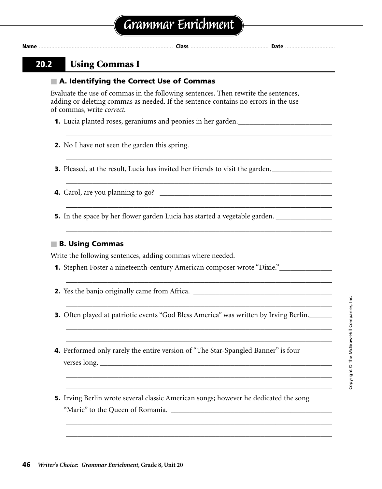| Grammar Enrichment |
|--------------------|
|--------------------|

### **20.2 Using Commas I**

#### ■ **A. Identifying the Correct Use of Commas**

Evaluate the use of commas in the following sentences. Then rewrite the sentences, adding or deleting commas as needed. If the sentence contains no errors in the use of commas, write *correct.*

\_\_\_\_\_\_\_\_\_\_\_\_\_\_\_\_\_\_\_\_\_\_\_\_\_\_\_\_\_\_\_\_\_\_\_\_\_\_\_\_\_\_\_\_\_\_\_\_\_\_\_\_\_\_\_\_\_\_\_\_\_\_\_\_\_\_\_\_\_\_\_

\_\_\_\_\_\_\_\_\_\_\_\_\_\_\_\_\_\_\_\_\_\_\_\_\_\_\_\_\_\_\_\_\_\_\_\_\_\_\_\_\_\_\_\_\_\_\_\_\_\_\_\_\_\_\_\_\_\_\_\_\_\_\_\_\_\_\_\_\_\_\_

\_\_\_\_\_\_\_\_\_\_\_\_\_\_\_\_\_\_\_\_\_\_\_\_\_\_\_\_\_\_\_\_\_\_\_\_\_\_\_\_\_\_\_\_\_\_\_\_\_\_\_\_\_\_\_\_\_\_\_\_\_\_\_\_\_\_\_\_\_\_\_

\_\_\_\_\_\_\_\_\_\_\_\_\_\_\_\_\_\_\_\_\_\_\_\_\_\_\_\_\_\_\_\_\_\_\_\_\_\_\_\_\_\_\_\_\_\_\_\_\_\_\_\_\_\_\_\_\_\_\_\_\_\_\_\_\_\_\_\_\_\_\_

\_\_\_\_\_\_\_\_\_\_\_\_\_\_\_\_\_\_\_\_\_\_\_\_\_\_\_\_\_\_\_\_\_\_\_\_\_\_\_\_\_\_\_\_\_\_\_\_\_\_\_\_\_\_\_\_\_\_\_\_\_\_\_\_\_\_\_\_\_\_\_

\_\_\_\_\_\_\_\_\_\_\_\_\_\_\_\_\_\_\_\_\_\_\_\_\_\_\_\_\_\_\_\_\_\_\_\_\_\_\_\_\_\_\_\_\_\_\_\_\_\_\_\_\_\_\_\_\_\_\_\_\_\_\_\_\_\_\_\_\_\_\_

\_\_\_\_\_\_\_\_\_\_\_\_\_\_\_\_\_\_\_\_\_\_\_\_\_\_\_\_\_\_\_\_\_\_\_\_\_\_\_\_\_\_\_\_\_\_\_\_\_\_\_\_\_\_\_\_\_\_\_\_\_\_\_\_\_\_\_\_\_\_\_

\_\_\_\_\_\_\_\_\_\_\_\_\_\_\_\_\_\_\_\_\_\_\_\_\_\_\_\_\_\_\_\_\_\_\_\_\_\_\_\_\_\_\_\_\_\_\_\_\_\_\_\_\_\_\_\_\_\_\_\_\_\_\_\_\_\_\_\_\_\_\_ \_\_\_\_\_\_\_\_\_\_\_\_\_\_\_\_\_\_\_\_\_\_\_\_\_\_\_\_\_\_\_\_\_\_\_\_\_\_\_\_\_\_\_\_\_\_\_\_\_\_\_\_\_\_\_\_\_\_\_\_\_\_\_\_\_\_\_\_\_\_\_

\_\_\_\_\_\_\_\_\_\_\_\_\_\_\_\_\_\_\_\_\_\_\_\_\_\_\_\_\_\_\_\_\_\_\_\_\_\_\_\_\_\_\_\_\_\_\_\_\_\_\_\_\_\_\_\_\_\_\_\_\_\_\_\_\_\_\_\_\_\_\_ \_\_\_\_\_\_\_\_\_\_\_\_\_\_\_\_\_\_\_\_\_\_\_\_\_\_\_\_\_\_\_\_\_\_\_\_\_\_\_\_\_\_\_\_\_\_\_\_\_\_\_\_\_\_\_\_\_\_\_\_\_\_\_\_\_\_\_\_\_\_\_

\_\_\_\_\_\_\_\_\_\_\_\_\_\_\_\_\_\_\_\_\_\_\_\_\_\_\_\_\_\_\_\_\_\_\_\_\_\_\_\_\_\_\_\_\_\_\_\_\_\_\_\_\_\_\_\_\_\_\_\_\_\_\_\_\_\_\_\_\_\_\_ \_\_\_\_\_\_\_\_\_\_\_\_\_\_\_\_\_\_\_\_\_\_\_\_\_\_\_\_\_\_\_\_\_\_\_\_\_\_\_\_\_\_\_\_\_\_\_\_\_\_\_\_\_\_\_\_\_\_\_\_\_\_\_\_\_\_\_\_\_\_\_

**1.** Lucia planted roses, geraniums and peonies in her garden.

**2.** No I have not seen the garden this spring.

**3.** Pleased, at the result, Lucia has invited her friends to visit the garden.

**4.** Carol, are you planning to go? \_\_\_\_\_\_\_\_\_\_\_\_\_\_\_\_\_\_\_\_\_\_\_\_\_\_\_\_\_\_\_\_\_\_\_\_\_\_\_\_\_\_\_\_\_\_

**5.** In the space by her flower garden Lucia has started a vegetable garden.

#### ■ **B. Using Commas**

Write the following sentences, adding commas where needed.

- **1.** Stephen Foster a nineteenth-century American composer wrote "Dixie."\_\_\_\_\_\_\_\_\_\_\_\_\_
- **2.** Yes the banjo originally came from Africa. \_\_\_\_\_\_\_\_\_\_\_\_\_\_\_\_\_\_\_\_\_\_\_\_\_\_\_\_\_\_\_\_\_\_\_\_\_
- **3.** Often played at patriotic events "God Bless America" was written by Irving Berlin.
- **4.** Performed only rarely the entire version of "The Star-Spangled Banner" is four verses long. \_\_\_\_\_\_\_\_\_\_\_\_\_\_\_\_\_\_\_\_\_\_\_\_\_\_\_\_\_\_\_\_\_\_\_\_\_\_\_\_\_\_\_\_\_\_\_\_\_\_\_\_\_\_\_\_\_\_\_\_\_\_
- **5.** Irving Berlin wrote several classic American songs; however he dedicated the song "Marie" to the Queen of Romania. \_\_\_\_\_\_\_\_\_\_\_\_\_\_\_\_\_\_\_\_\_\_\_\_\_\_\_\_\_\_\_\_\_\_\_\_\_\_\_\_\_\_\_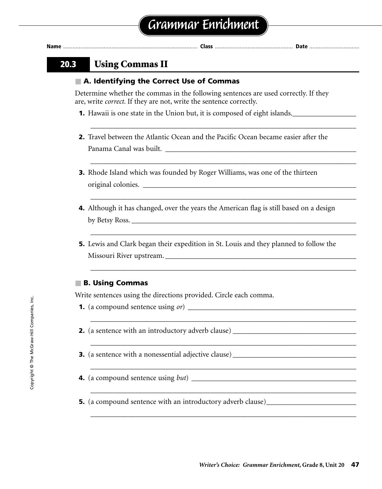### **20.3 Using Commas II**

#### ■ **A. Identifying the Correct Use of Commas**

Determine whether the commas in the following sentences are used correctly. If they are, write *correct.* If they are not, write the sentence correctly.

- **1.** Hawaii is one state in the Union but, it is composed of eight islands.
- **2.** Travel between the Atlantic Ocean and the Pacific Ocean became easier after the Panama Canal was built. \_\_\_\_\_\_\_\_\_\_\_\_\_\_\_\_\_\_\_\_\_\_\_\_\_\_\_\_\_\_\_\_\_\_\_\_\_\_\_\_\_\_\_\_\_\_\_\_\_\_\_

\_\_\_\_\_\_\_\_\_\_\_\_\_\_\_\_\_\_\_\_\_\_\_\_\_\_\_\_\_\_\_\_\_\_\_\_\_\_\_\_\_\_\_\_\_\_\_\_\_\_\_\_\_\_\_\_\_\_\_\_\_\_\_\_\_\_\_\_\_\_\_

\_\_\_\_\_\_\_\_\_\_\_\_\_\_\_\_\_\_\_\_\_\_\_\_\_\_\_\_\_\_\_\_\_\_\_\_\_\_\_\_\_\_\_\_\_\_\_\_\_\_\_\_\_\_\_\_\_\_\_\_\_\_\_\_\_\_\_\_\_\_\_

\_\_\_\_\_\_\_\_\_\_\_\_\_\_\_\_\_\_\_\_\_\_\_\_\_\_\_\_\_\_\_\_\_\_\_\_\_\_\_\_\_\_\_\_\_\_\_\_\_\_\_\_\_\_\_\_\_\_\_\_\_\_\_\_\_\_\_\_\_\_\_

\_\_\_\_\_\_\_\_\_\_\_\_\_\_\_\_\_\_\_\_\_\_\_\_\_\_\_\_\_\_\_\_\_\_\_\_\_\_\_\_\_\_\_\_\_\_\_\_\_\_\_\_\_\_\_\_\_\_\_\_\_\_\_\_\_\_\_\_\_\_\_

\_\_\_\_\_\_\_\_\_\_\_\_\_\_\_\_\_\_\_\_\_\_\_\_\_\_\_\_\_\_\_\_\_\_\_\_\_\_\_\_\_\_\_\_\_\_\_\_\_\_\_\_\_\_\_\_\_\_\_\_\_\_\_\_\_\_\_\_\_\_\_

*\_\_\_\_\_\_\_\_\_\_\_\_\_\_\_\_\_\_\_\_\_\_\_\_\_\_\_\_\_\_\_\_\_\_\_\_\_\_\_\_\_\_\_\_\_\_\_\_\_\_\_\_\_\_\_\_\_\_\_\_\_\_\_\_\_\_\_\_\_\_\_*

\_\_\_\_\_\_\_\_\_\_\_\_\_\_\_\_\_\_\_\_\_\_\_\_\_\_\_\_\_\_\_\_\_\_\_\_\_\_\_\_\_\_\_\_\_\_\_\_\_\_\_\_\_\_\_\_\_\_\_\_\_\_\_\_\_\_\_\_\_\_\_

\_\_\_\_\_\_\_\_\_\_\_\_\_\_\_\_\_\_\_\_\_\_\_\_\_\_\_\_\_\_\_\_\_\_\_\_\_\_\_\_\_\_\_\_\_\_\_\_\_\_\_\_\_\_\_\_\_\_\_\_\_\_\_\_\_\_\_\_\_\_\_

*\_\_\_\_\_\_\_\_\_\_\_\_\_\_\_\_\_\_\_\_\_\_\_\_\_\_\_\_\_\_\_\_\_\_\_\_\_\_\_\_\_\_\_\_\_\_\_\_\_\_\_\_\_\_\_\_\_\_\_\_\_\_\_\_\_\_\_\_\_\_\_*

\_\_\_\_\_\_\_\_\_\_\_\_\_\_\_\_\_\_\_\_\_\_\_\_\_\_\_\_\_\_\_\_\_\_\_\_\_\_\_\_\_\_\_\_\_\_\_\_\_\_\_\_\_\_\_\_\_\_\_\_\_\_\_\_\_\_\_\_\_\_\_

- **3.** Rhode Island which was founded by Roger Williams, was one of the thirteen original colonies. \_\_\_\_\_\_\_\_\_\_\_\_\_\_\_\_\_\_\_\_\_\_\_\_\_\_\_\_\_\_\_\_\_\_\_\_\_\_\_\_\_\_\_\_\_\_\_\_\_\_\_\_\_\_\_\_\_
- **4.** Although it has changed, over the years the American flag is still based on a design by Betsy Ross.
- **5.** Lewis and Clark began their expedition in St. Louis and they planned to follow the Missouri River upstream.

#### ■ **B. Using Commas**

Write sentences using the directions provided. Circle each comma.

- **1.** (a compound sentence using *or*) *\_\_\_\_\_\_\_\_\_\_\_\_\_\_\_\_\_\_\_\_\_\_\_\_\_\_\_\_\_\_\_\_\_\_\_\_\_\_\_\_\_\_\_\_\_*
- **2.** (a sentence with an introductory adverb clause) \_\_\_\_\_\_\_\_\_\_\_\_\_\_\_\_\_\_\_\_\_\_\_\_\_\_\_\_\_\_\_\_\_
- **3.** (a sentence with a nonessential adjective clause)
- **4.** (a compound sentence using *but*) *\_\_\_\_\_\_\_\_\_\_\_\_\_\_\_\_\_\_\_\_\_\_\_\_\_\_\_\_\_\_\_\_\_\_\_\_\_\_\_\_\_\_\_\_*
- **5.** (a compound sentence with an introductory adverb clause)\_\_\_\_\_\_\_\_\_\_\_\_\_\_\_\_\_\_\_\_\_\_\_\_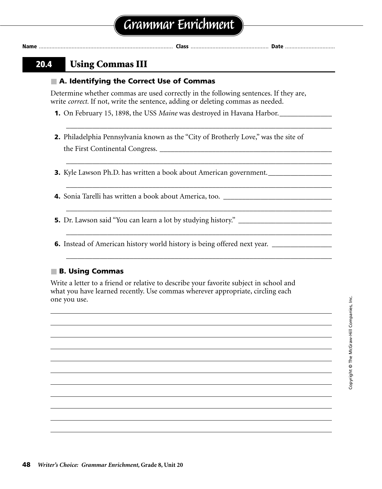### **20.4 Using Commas III**

### ■ **A. Identifying the Correct Use of Commas**

Determine whether commas are used correctly in the following sentences. If they are, write *correct.* If not, write the sentence, adding or deleting commas as needed.

- **1.** On February 15, 1898, the USS *Maine* was destroyed in Havana Harbor.
- **2.** Philadelphia Pennsylvania known as the "City of Brotherly Love," was the site of the First Continental Congress. \_\_\_\_\_\_\_\_\_\_\_\_\_\_\_\_\_\_\_\_\_\_\_\_\_\_\_\_\_\_\_\_\_\_\_\_\_\_\_\_\_\_\_\_\_\_

\_\_\_\_\_\_\_\_\_\_\_\_\_\_\_\_\_\_\_\_\_\_\_\_\_\_\_\_\_\_\_\_\_\_\_\_\_\_\_\_\_\_\_\_\_\_\_\_\_\_\_\_\_\_\_\_\_\_\_\_\_\_\_\_\_\_\_\_\_\_\_

\_\_\_\_\_\_\_\_\_\_\_\_\_\_\_\_\_\_\_\_\_\_\_\_\_\_\_\_\_\_\_\_\_\_\_\_\_\_\_\_\_\_\_\_\_\_\_\_\_\_\_\_\_\_\_\_\_\_\_\_\_\_\_\_\_\_\_\_\_\_\_

\_\_\_\_\_\_\_\_\_\_\_\_\_\_\_\_\_\_\_\_\_\_\_\_\_\_\_\_\_\_\_\_\_\_\_\_\_\_\_\_\_\_\_\_\_\_\_\_\_\_\_\_\_\_\_\_\_\_\_\_\_\_\_\_\_\_\_\_\_\_\_

\_\_\_\_\_\_\_\_\_\_\_\_\_\_\_\_\_\_\_\_\_\_\_\_\_\_\_\_\_\_\_\_\_\_\_\_\_\_\_\_\_\_\_\_\_\_\_\_\_\_\_\_\_\_\_\_\_\_\_\_\_\_\_\_\_\_\_\_\_\_\_

\_\_\_\_\_\_\_\_\_\_\_\_\_\_\_\_\_\_\_\_\_\_\_\_\_\_\_\_\_\_\_\_\_\_\_\_\_\_\_\_\_\_\_\_\_\_\_\_\_\_\_\_\_\_\_\_\_\_\_\_\_\_\_\_\_\_\_\_\_\_\_

\_\_\_\_\_\_\_\_\_\_\_\_\_\_\_\_\_\_\_\_\_\_\_\_\_\_\_\_\_\_\_\_\_\_\_\_\_\_\_\_\_\_\_\_\_\_\_\_\_\_\_\_\_\_\_\_\_\_\_\_\_\_\_\_\_\_\_\_\_\_\_

**3.** Kyle Lawson Ph.D. has written a book about American government.

**4.** Sonia Tarelli has written a book about America, too. \_\_\_\_\_\_\_\_\_\_\_\_\_\_\_\_\_\_\_\_\_\_\_

**5.** Dr. Lawson said "You can learn a lot by studying history." \_\_\_\_\_\_\_\_\_\_\_\_\_\_\_\_\_\_\_\_\_\_\_\_\_

**6.** Instead of American history world history is being offered next year. \_\_\_\_\_\_\_\_\_\_\_

### ■ **B. Using Commas**

Write a letter to a friend or relative to describe your favorite subject in school and what you have learned recently. Use commas wherever appropriate, circling each one you use.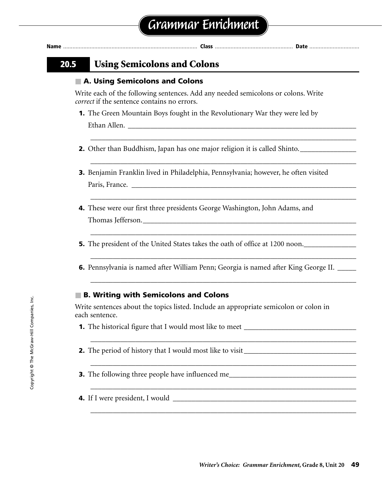| lam<br>I٧ |  |  | . | ٠ |
|-----------|--|--|---|---|
|-----------|--|--|---|---|

### **20.5 Using Semicolons and Colons**

#### ■ A. Using Semicolons and Colons

Write each of the following sentences. Add any needed semicolons or colons. Write *correct* if the sentence contains no errors.

**1.** The Green Mountain Boys fought in the Revolutionary War they were led by Ethan Allen.

\_\_\_\_\_\_\_\_\_\_\_\_\_\_\_\_\_\_\_\_\_\_\_\_\_\_\_\_\_\_\_\_\_\_\_\_\_\_\_\_\_\_\_\_\_\_\_\_\_\_\_\_\_\_\_\_\_\_\_\_\_\_\_\_\_\_\_\_\_\_\_

\_\_\_\_\_\_\_\_\_\_\_\_\_\_\_\_\_\_\_\_\_\_\_\_\_\_\_\_\_\_\_\_\_\_\_\_\_\_\_\_\_\_\_\_\_\_\_\_\_\_\_\_\_\_\_\_\_\_\_\_\_\_\_\_\_\_\_\_\_\_\_

\_\_\_\_\_\_\_\_\_\_\_\_\_\_\_\_\_\_\_\_\_\_\_\_\_\_\_\_\_\_\_\_\_\_\_\_\_\_\_\_\_\_\_\_\_\_\_\_\_\_\_\_\_\_\_\_\_\_\_\_\_\_\_\_\_\_\_\_\_\_\_

\_\_\_\_\_\_\_\_\_\_\_\_\_\_\_\_\_\_\_\_\_\_\_\_\_\_\_\_\_\_\_\_\_\_\_\_\_\_\_\_\_\_\_\_\_\_\_\_\_\_\_\_\_\_\_\_\_\_\_\_\_\_\_\_\_\_\_\_\_\_\_

\_\_\_\_\_\_\_\_\_\_\_\_\_\_\_\_\_\_\_\_\_\_\_\_\_\_\_\_\_\_\_\_\_\_\_\_\_\_\_\_\_\_\_\_\_\_\_\_\_\_\_\_\_\_\_\_\_\_\_\_\_\_\_\_\_\_\_\_\_\_\_

\_\_\_\_\_\_\_\_\_\_\_\_\_\_\_\_\_\_\_\_\_\_\_\_\_\_\_\_\_\_\_\_\_\_\_\_\_\_\_\_\_\_\_\_\_\_\_\_\_\_\_\_\_\_\_\_\_\_\_\_\_\_\_\_\_\_\_\_\_\_\_

\_\_\_\_\_\_\_\_\_\_\_\_\_\_\_\_\_\_\_\_\_\_\_\_\_\_\_\_\_\_\_\_\_\_\_\_\_\_\_\_\_\_\_\_\_\_\_\_\_\_\_\_\_\_\_\_\_\_\_\_\_\_\_\_\_\_\_\_\_\_\_

\_\_\_\_\_\_\_\_\_\_\_\_\_\_\_\_\_\_\_\_\_\_\_\_\_\_\_\_\_\_\_\_\_\_\_\_\_\_\_\_\_\_\_\_\_\_\_\_\_\_\_\_\_\_\_\_\_\_\_\_\_\_\_\_\_\_\_\_\_\_\_

\_\_\_\_\_\_\_\_\_\_\_\_\_\_\_\_\_\_\_\_\_\_\_\_\_\_\_\_\_\_\_\_\_\_\_\_\_\_\_\_\_\_\_\_\_\_\_\_\_\_\_\_\_\_\_\_\_\_\_\_\_\_\_\_\_\_\_\_\_\_\_

\_\_\_\_\_\_\_\_\_\_\_\_\_\_\_\_\_\_\_\_\_\_\_\_\_\_\_\_\_\_\_\_\_\_\_\_\_\_\_\_\_\_\_\_\_\_\_\_\_\_\_\_\_\_\_\_\_\_\_\_\_\_\_\_\_\_\_\_\_\_\_

- **2.** Other than Buddhism, Japan has one major religion it is called Shinto.
- **3.** Benjamin Franklin lived in Philadelphia, Pennsylvania; however, he often visited Paris, France.
- **4.** These were our first three presidents George Washington, John Adams, and Thomas Jefferson.
- **5.** The president of the United States takes the oath of office at 1200 noon.\_\_\_\_\_\_\_\_\_\_\_\_\_\_
- **6.** Pennsylvania is named after William Penn; Georgia is named after King George II. \_\_\_\_\_

### ■ **B. Writing with Semicolons and Colons**

Write sentences about the topics listed. Include an appropriate semicolon or colon in each sentence.

- **1.** The historical figure that I would most like to meet \_\_\_\_\_\_\_\_\_\_\_\_\_\_\_\_\_\_\_\_\_\_\_\_\_\_\_\_\_
- **2.** The period of history that I would most like to visit \_\_\_\_\_\_\_\_\_\_\_\_\_\_\_\_\_\_\_\_\_\_\_\_\_\_\_\_
- **3.** The following three people have influenced me\_\_\_\_\_\_\_\_\_\_\_\_\_\_\_\_\_\_\_\_\_\_\_\_\_\_\_\_\_\_\_
- **4.** If I were president, I would \_\_\_\_\_\_\_\_\_\_\_\_\_\_\_\_\_\_\_\_\_\_\_\_\_\_\_\_\_\_\_\_\_\_\_\_\_\_\_\_\_\_\_\_\_\_\_\_\_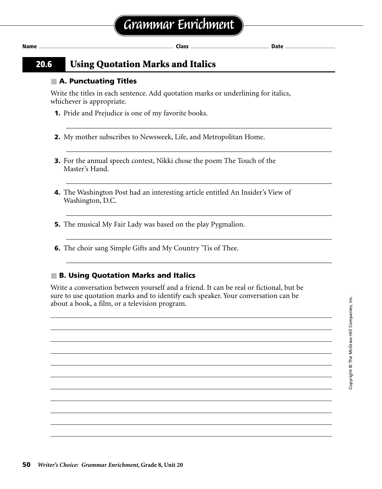### **20.6 Using Quotation Marks and Italics**

#### ■ **A. Punctuating Titles**

Write the titles in each sentence. Add quotation marks or underlining for italics, whichever is appropriate.

\_\_\_\_\_\_\_\_\_\_\_\_\_\_\_\_\_\_\_\_\_\_\_\_\_\_\_\_\_\_\_\_\_\_\_\_\_\_\_\_\_\_\_\_\_\_\_\_\_\_\_\_\_\_\_\_\_\_\_\_\_\_\_\_\_\_\_\_\_\_\_

**Name** ...................................................................................... **Class** .................................................. **Date** ................................

\_\_\_\_\_\_\_\_\_\_\_\_\_\_\_\_\_\_\_\_\_\_\_\_\_\_\_\_\_\_\_\_\_\_\_\_\_\_\_\_\_\_\_\_\_\_\_\_\_\_\_\_\_\_\_\_\_\_\_\_\_\_\_\_\_\_\_\_\_\_\_

\_\_\_\_\_\_\_\_\_\_\_\_\_\_\_\_\_\_\_\_\_\_\_\_\_\_\_\_\_\_\_\_\_\_\_\_\_\_\_\_\_\_\_\_\_\_\_\_\_\_\_\_\_\_\_\_\_\_\_\_\_\_\_\_\_\_\_\_\_\_\_

\_\_\_\_\_\_\_\_\_\_\_\_\_\_\_\_\_\_\_\_\_\_\_\_\_\_\_\_\_\_\_\_\_\_\_\_\_\_\_\_\_\_\_\_\_\_\_\_\_\_\_\_\_\_\_\_\_\_\_\_\_\_\_\_\_\_\_\_\_\_\_

\_\_\_\_\_\_\_\_\_\_\_\_\_\_\_\_\_\_\_\_\_\_\_\_\_\_\_\_\_\_\_\_\_\_\_\_\_\_\_\_\_\_\_\_\_\_\_\_\_\_\_\_\_\_\_\_\_\_\_\_\_\_\_\_\_\_\_\_\_\_\_

\_\_\_\_\_\_\_\_\_\_\_\_\_\_\_\_\_\_\_\_\_\_\_\_\_\_\_\_\_\_\_\_\_\_\_\_\_\_\_\_\_\_\_\_\_\_\_\_\_\_\_\_\_\_\_\_\_\_\_\_\_\_\_\_\_\_\_\_\_\_\_

- **1.** Pride and Prejudice is one of my favorite books.
- **2.** My mother subscribes to Newsweek, Life, and Metropolitan Home.
- **3.** For the annual speech contest, Nikki chose the poem The Touch of the Master's Hand.
- **4.** The Washington Post had an interesting article entitled An Insider's View of Washington, D.C.
- **5.** The musical My Fair Lady was based on the play Pygmalion.
- **6.** The choir sang Simple Gifts and My Country 'Tis of Thee.

#### ■ **B. Using Quotation Marks and Italics**

Write a conversation between yourself and a friend. It can be real or fictional, but be sure to use quotation marks and to identify each speaker. Your conversation can be about a book, a film, or a television program.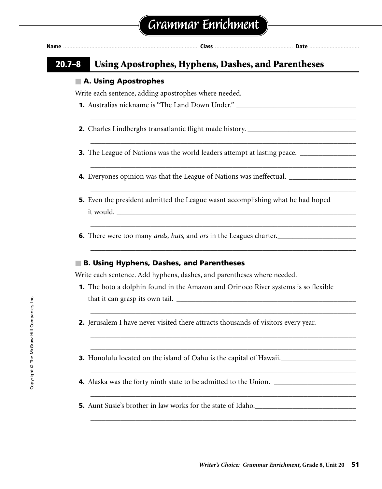| Nan | лаэ |  |
|-----|-----|--|
|     |     |  |

\_\_\_\_\_\_\_\_\_\_\_\_\_\_\_\_\_\_\_\_\_\_\_\_\_\_\_\_\_\_\_\_\_\_\_\_\_\_\_\_\_\_\_\_\_\_\_\_\_\_\_\_\_\_\_\_\_\_\_\_\_\_\_\_\_\_\_\_\_\_\_

\_\_\_\_\_\_\_\_\_\_\_\_\_\_\_\_\_\_\_\_\_\_\_\_\_\_\_\_\_\_\_\_\_\_\_\_\_\_\_\_\_\_\_\_\_\_\_\_\_\_\_\_\_\_\_\_\_\_\_\_\_\_\_\_\_\_\_\_\_\_\_

\_\_\_\_\_\_\_\_\_\_\_\_\_\_\_\_\_\_\_\_\_\_\_\_\_\_\_\_\_\_\_\_\_\_\_\_\_\_\_\_\_\_\_\_\_\_\_\_\_\_\_\_\_\_\_\_\_\_\_\_\_\_\_\_\_\_\_\_\_\_\_

\_\_\_\_\_\_\_\_\_\_\_\_\_\_\_\_\_\_\_\_\_\_\_\_\_\_\_\_\_\_\_\_\_\_\_\_\_\_\_\_\_\_\_\_\_\_\_\_\_\_\_\_\_\_\_\_\_\_\_\_\_\_\_\_\_\_\_\_\_\_\_

\_\_\_\_\_\_\_\_\_\_\_\_\_\_\_\_\_\_\_\_\_\_\_\_\_\_\_\_\_\_\_\_\_\_\_\_\_\_\_\_\_\_\_\_\_\_\_\_\_\_\_\_\_\_\_\_\_\_\_\_\_\_\_\_\_\_\_\_\_\_\_

\_\_\_\_\_\_\_\_\_\_\_\_\_\_\_\_\_\_\_\_\_\_\_\_\_\_\_\_\_\_\_\_\_\_\_\_\_\_\_\_\_\_\_\_\_\_\_\_\_\_\_\_\_\_\_\_\_\_\_\_\_\_\_\_\_\_\_\_\_\_\_

\_\_\_\_\_\_\_\_\_\_\_\_\_\_\_\_\_\_\_\_\_\_\_\_\_\_\_\_\_\_\_\_\_\_\_\_\_\_\_\_\_\_\_\_\_\_\_\_\_\_\_\_\_\_\_\_\_\_\_\_\_\_\_\_\_\_\_\_\_\_\_

\_\_\_\_\_\_\_\_\_\_\_\_\_\_\_\_\_\_\_\_\_\_\_\_\_\_\_\_\_\_\_\_\_\_\_\_\_\_\_\_\_\_\_\_\_\_\_\_\_\_\_\_\_\_\_\_\_\_\_\_\_\_\_\_\_\_\_\_\_\_\_ \_\_\_\_\_\_\_\_\_\_\_\_\_\_\_\_\_\_\_\_\_\_\_\_\_\_\_\_\_\_\_\_\_\_\_\_\_\_\_\_\_\_\_\_\_\_\_\_\_\_\_\_\_\_\_\_\_\_\_\_\_\_\_\_\_\_\_\_\_\_\_

\_\_\_\_\_\_\_\_\_\_\_\_\_\_\_\_\_\_\_\_\_\_\_\_\_\_\_\_\_\_\_\_\_\_\_\_\_\_\_\_\_\_\_\_\_\_\_\_\_\_\_\_\_\_\_\_\_\_\_\_\_\_\_\_\_\_\_\_\_\_\_

\_\_\_\_\_\_\_\_\_\_\_\_\_\_\_\_\_\_\_\_\_\_\_\_\_\_\_\_\_\_\_\_\_\_\_\_\_\_\_\_\_\_\_\_\_\_\_\_\_\_\_\_\_\_\_\_\_\_\_\_\_\_\_\_\_\_\_\_\_\_\_

\_\_\_\_\_\_\_\_\_\_\_\_\_\_\_\_\_\_\_\_\_\_\_\_\_\_\_\_\_\_\_\_\_\_\_\_\_\_\_\_\_\_\_\_\_\_\_\_\_\_\_\_\_\_\_\_\_\_\_\_\_\_\_\_\_\_\_\_\_\_\_

### **20.7–8 Using Apostrophes, Hyphens, Dashes, and Parentheses**

#### ■ **A. Using Apostrophes**

Write each sentence, adding apostrophes where needed.

- **1.** Australias nickname is "The Land Down Under." \_\_\_\_\_\_\_\_\_\_\_\_\_\_\_\_\_\_\_\_\_\_\_\_\_\_\_\_\_\_\_\_
- **2.** Charles Lindberghs transatlantic flight made history. \_\_\_\_\_\_\_\_\_\_\_\_\_\_\_\_\_\_\_\_\_\_\_
- **3.** The League of Nations was the world leaders attempt at lasting peace. \_\_\_\_\_\_\_\_\_\_
- **4.** Everyones opinion was that the League of Nations was ineffectual. \_\_\_\_\_\_\_\_\_\_\_\_\_\_\_\_\_\_
- **5.** Even the president admitted the League wasnt accomplishing what he had hoped it would.
- **6.** There were too many *ands, buts,* and *ors* in the Leagues charter.\_\_\_\_\_\_\_\_\_\_\_\_\_\_\_\_\_\_\_\_\_

#### ■ **B. Using Hyphens, Dashes, and Parentheses**

Write each sentence. Add hyphens, dashes, and parentheses where needed.

- **1.** The boto a dolphin found in the Amazon and Orinoco River systems is so flexible that it can grasp its own tail.  $\frac{1}{\frac{1}{2} \cdot \frac{1}{2} \cdot \frac{1}{2} \cdot \frac{1}{2} \cdot \frac{1}{2} \cdot \frac{1}{2} \cdot \frac{1}{2} \cdot \frac{1}{2} \cdot \frac{1}{2} \cdot \frac{1}{2} \cdot \frac{1}{2} \cdot \frac{1}{2} \cdot \frac{1}{2} \cdot \frac{1}{2} \cdot \frac{1}{2} \cdot \frac{1}{2} \cdot \frac{1}{2} \cdot \frac{1}{2} \cdot \frac{1}{2} \cdot \frac{1}{2} \cdot \frac{$
- **2.** Jerusalem I have never visited there attracts thousands of visitors every year.
- **3.** Honolulu located on the island of Oahu is the capital of Hawaii.\_\_\_\_\_\_\_\_\_\_\_\_\_
- **4.** Alaska was the forty ninth state to be admitted to the Union.
- **5.** Aunt Susie's brother in law works for the state of Idaho.